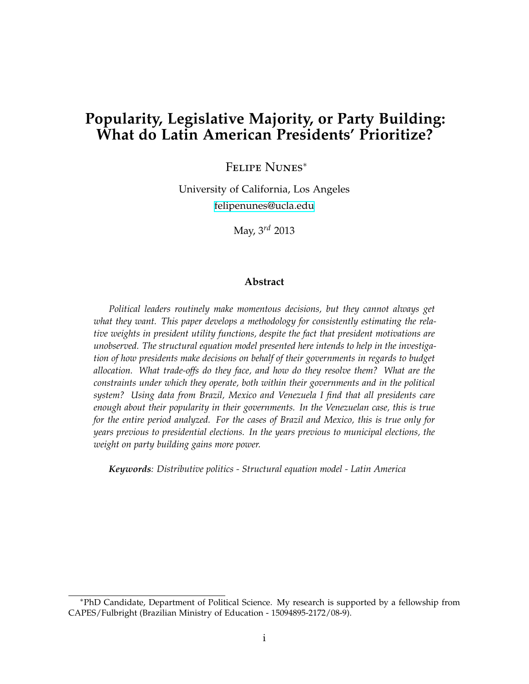# **Popularity, Legislative Majority, or Party Building: What do Latin American Presidents' Prioritize?**

Felipe Nunes*<sup>∗</sup>*

University of California, Los Angeles [felipenunes@ucla.edu](mailto:felipenunes@ucla.edu)

May, 3 *rd* 2013

#### **Abstract**

*Political leaders routinely make momentous decisions, but they cannot always get what they want. This paper develops a methodology for consistently estimating the relative weights in president utility functions, despite the fact that president motivations are unobserved. The structural equation model presented here intends to help in the investigation of how presidents make decisions on behalf of their governments in regards to budget allocation. What trade-offs do they face, and how do they resolve them? What are the constraints under which they operate, both within their governments and in the political system? Using data from Brazil, Mexico and Venezuela I find that all presidents care enough about their popularity in their governments. In the Venezuelan case, this is true for the entire period analyzed. For the cases of Brazil and Mexico, this is true only for years previous to presidential elections. In the years previous to municipal elections, the weight on party building gains more power.*

*Keywords: Distributive politics - Structural equation model - Latin America*

*<sup>∗</sup>*PhD Candidate, Department of Political Science. My research is supported by a fellowship from CAPES/Fulbright (Brazilian Ministry of Education - 15094895-2172/08-9).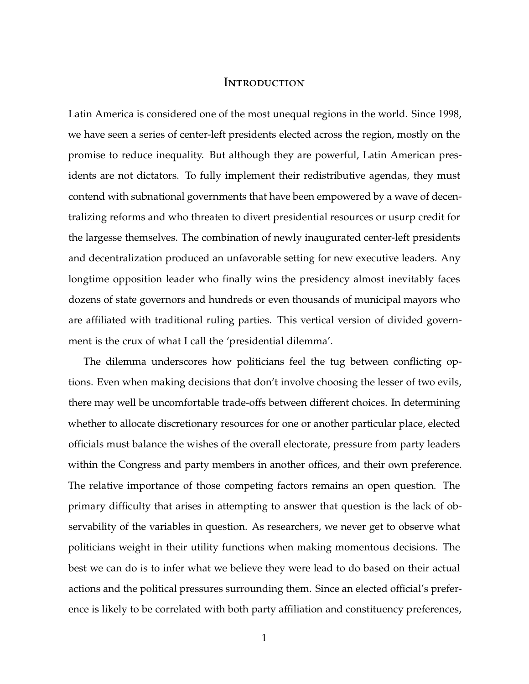## **INTRODUCTION**

Latin America is considered one of the most unequal regions in the world. Since 1998, we have seen a series of center-left presidents elected across the region, mostly on the promise to reduce inequality. But although they are powerful, Latin American presidents are not dictators. To fully implement their redistributive agendas, they must contend with subnational governments that have been empowered by a wave of decentralizing reforms and who threaten to divert presidential resources or usurp credit for the largesse themselves. The combination of newly inaugurated center-left presidents and decentralization produced an unfavorable setting for new executive leaders. Any longtime opposition leader who finally wins the presidency almost inevitably faces dozens of state governors and hundreds or even thousands of municipal mayors who are affiliated with traditional ruling parties. This vertical version of divided government is the crux of what I call the 'presidential dilemma'.

The dilemma underscores how politicians feel the tug between conflicting options. Even when making decisions that don't involve choosing the lesser of two evils, there may well be uncomfortable trade-offs between different choices. In determining whether to allocate discretionary resources for one or another particular place, elected officials must balance the wishes of the overall electorate, pressure from party leaders within the Congress and party members in another offices, and their own preference. The relative importance of those competing factors remains an open question. The primary difficulty that arises in attempting to answer that question is the lack of observability of the variables in question. As researchers, we never get to observe what politicians weight in their utility functions when making momentous decisions. The best we can do is to infer what we believe they were lead to do based on their actual actions and the political pressures surrounding them. Since an elected official's preference is likely to be correlated with both party affiliation and constituency preferences,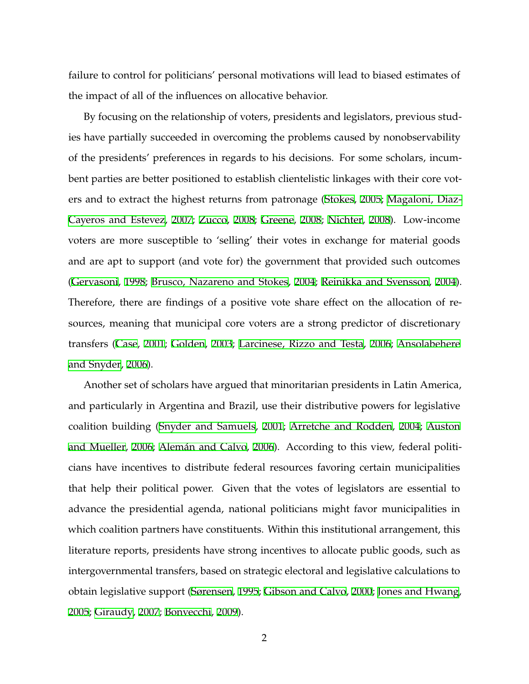failure to control for politicians' personal motivations will lead to biased estimates of the impact of all of the influences on allocative behavior.

By focusing on the relationship of voters, presidents and legislators, previous studies have partially succeeded in overcoming the problems caused by nonobservability of the presidents' preferences in regards to his decisions. For some scholars, incumbent parties are better positioned to establish clientelistic linkages with their core voters and to extract the highest returns from patronage ([Stokes](#page-37-0), [2005](#page-37-0); [Magaloni, Diaz-](#page-36-0)[Cayeros and Estevez](#page-36-0), [2007;](#page-36-0) [Zucco,](#page-38-0) [2008;](#page-38-0) [Greene](#page-35-0), [2008;](#page-35-0) [Nichter,](#page-37-1) [2008\)](#page-37-1). Low-income voters are more susceptible to 'selling' their votes in exchange for material goods and are apt to support (and vote for) the government that provided such outcomes ([Gervasoni,](#page-35-1) [1998](#page-35-1); [Brusco, Nazareno and Stokes,](#page-34-0) [2004;](#page-34-0) [Reinikka and Svensson,](#page-37-2) [2004\)](#page-37-2). Therefore, there are findings of a positive vote share effect on the allocation of resources, meaning that municipal core voters are a strong predictor of discretionary transfers ([Case](#page-34-1), [2001;](#page-34-1) [Golden](#page-35-2), [2003;](#page-35-2) [Larcinese, Rizzo and Testa,](#page-36-1) [2006](#page-36-1); [Ansolabehere](#page-33-0) [and Snyder](#page-33-0), [2006\)](#page-33-0).

Another set of scholars have argued that minoritarian presidents in Latin America, and particularly in Argentina and Brazil, use their distributive powers for legislative coalition building [\(Snyder and Samuels,](#page-37-3) [2001;](#page-37-3) [Arretche and Rodden](#page-34-2), [2004](#page-34-2); [Auston](#page-34-3) [and Mueller](#page-34-3), [2006;](#page-34-3) [Alemán and Calvo,](#page-33-1) [2006](#page-33-1)). According to this view, federal politicians have incentives to distribute federal resources favoring certain municipalities that help their political power. Given that the votes of legislators are essential to advance the presidential agenda, national politicians might favor municipalities in which coalition partners have constituents. Within this institutional arrangement, this literature reports, presidents have strong incentives to allocate public goods, such as intergovernmental transfers, based on strategic electoral and legislative calculations to obtain legislative support [\(Sørensen](#page-37-4), [1995](#page-37-4); [Gibson and Calvo,](#page-35-3) [2000](#page-35-3); [Jones and Hwang](#page-36-2), [2005](#page-36-2); [Giraudy](#page-35-4), [2007](#page-35-4); [Bonvecchi,](#page-34-4) [2009](#page-34-4)).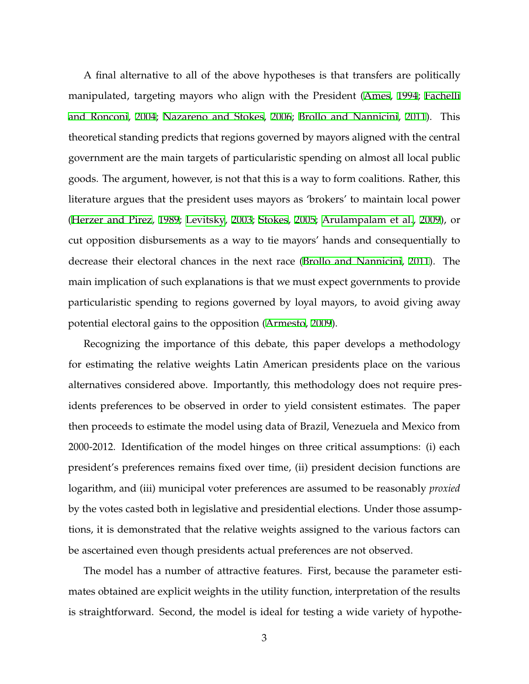A final alternative to all of the above hypotheses is that transfers are politically manipulated, targeting mayors who align with the President [\(Ames,](#page-33-2) [1994;](#page-33-2) [Fachelli](#page-35-5) [and Ronconi](#page-35-5), [2004;](#page-35-5) [Nazareno and Stokes,](#page-36-3) [2006;](#page-36-3) [Brollo and Nannicini](#page-34-5), [2011](#page-34-5)). This theoretical standing predicts that regions governed by mayors aligned with the central government are the main targets of particularistic spending on almost all local public goods. The argument, however, is not that this is a way to form coalitions. Rather, this literature argues that the president uses mayors as 'brokers' to maintain local power ([Herzer and Pirez](#page-35-6), [1989;](#page-35-6) [Levitsky,](#page-36-4) [2003](#page-36-4); [Stokes,](#page-37-0) [2005](#page-37-0); [Arulampalam et al.](#page-34-6), [2009\)](#page-34-6), or cut opposition disbursements as a way to tie mayors' hands and consequentially to decrease their electoral chances in the next race ([Brollo and Nannicini](#page-34-5), [2011](#page-34-5)). The main implication of such explanations is that we must expect governments to provide particularistic spending to regions governed by loyal mayors, to avoid giving away potential electoral gains to the opposition ([Armesto,](#page-33-3) [2009](#page-33-3)).

Recognizing the importance of this debate, this paper develops a methodology for estimating the relative weights Latin American presidents place on the various alternatives considered above. Importantly, this methodology does not require presidents preferences to be observed in order to yield consistent estimates. The paper then proceeds to estimate the model using data of Brazil, Venezuela and Mexico from 2000-2012. Identification of the model hinges on three critical assumptions: (i) each president's preferences remains fixed over time, (ii) president decision functions are logarithm, and (iii) municipal voter preferences are assumed to be reasonably *proxied* by the votes casted both in legislative and presidential elections. Under those assumptions, it is demonstrated that the relative weights assigned to the various factors can be ascertained even though presidents actual preferences are not observed.

The model has a number of attractive features. First, because the parameter estimates obtained are explicit weights in the utility function, interpretation of the results is straightforward. Second, the model is ideal for testing a wide variety of hypothe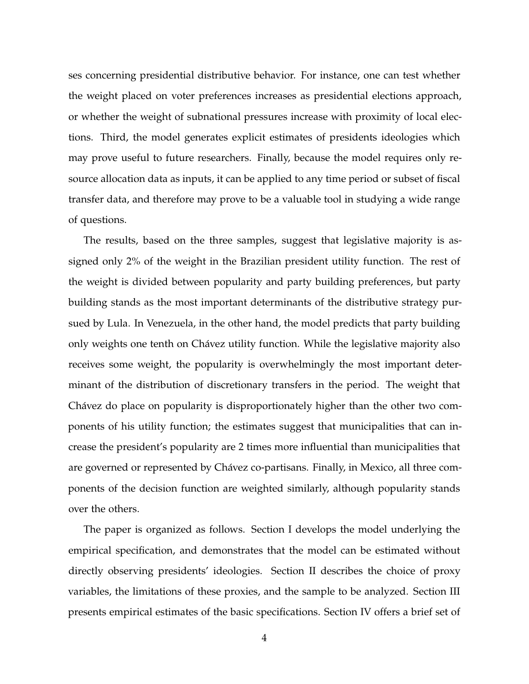ses concerning presidential distributive behavior. For instance, one can test whether the weight placed on voter preferences increases as presidential elections approach, or whether the weight of subnational pressures increase with proximity of local elections. Third, the model generates explicit estimates of presidents ideologies which may prove useful to future researchers. Finally, because the model requires only resource allocation data as inputs, it can be applied to any time period or subset of fiscal transfer data, and therefore may prove to be a valuable tool in studying a wide range of questions.

The results, based on the three samples, suggest that legislative majority is assigned only 2% of the weight in the Brazilian president utility function. The rest of the weight is divided between popularity and party building preferences, but party building stands as the most important determinants of the distributive strategy pursued by Lula. In Venezuela, in the other hand, the model predicts that party building only weights one tenth on Chávez utility function. While the legislative majority also receives some weight, the popularity is overwhelmingly the most important determinant of the distribution of discretionary transfers in the period. The weight that Chávez do place on popularity is disproportionately higher than the other two components of his utility function; the estimates suggest that municipalities that can increase the president's popularity are 2 times more influential than municipalities that are governed or represented by Chávez co-partisans. Finally, in Mexico, all three components of the decision function are weighted similarly, although popularity stands over the others.

The paper is organized as follows. Section I develops the model underlying the empirical specification, and demonstrates that the model can be estimated without directly observing presidents' ideologies. Section II describes the choice of proxy variables, the limitations of these proxies, and the sample to be analyzed. Section III presents empirical estimates of the basic specifications. Section IV offers a brief set of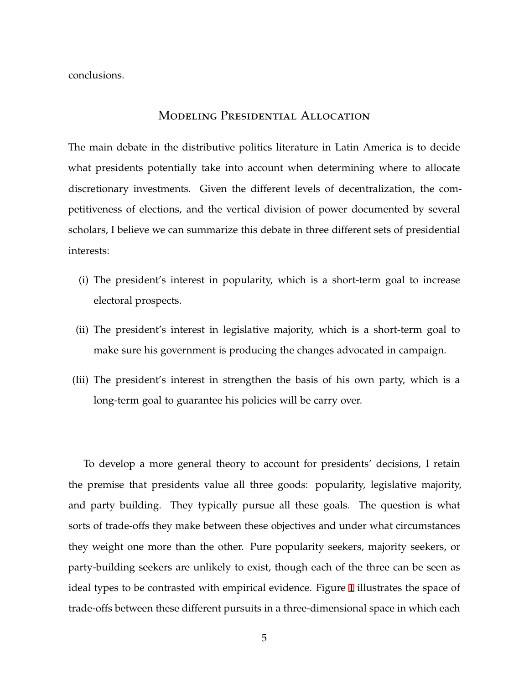conclusions.

## MODELING PRESIDENTIAL ALLOCATION

The main debate in the distributive politics literature in Latin America is to decide what presidents potentially take into account when determining where to allocate discretionary investments. Given the different levels of decentralization, the competitiveness of elections, and the vertical division of power documented by several scholars, I believe we can summarize this debate in three different sets of presidential interests:

- (i) The president's interest in popularity, which is a short-term goal to increase electoral prospects.
- (ii) The president's interest in legislative majority, which is a short-term goal to make sure his government is producing the changes advocated in campaign.
- (Iii) The president's interest in strengthen the basis of his own party, which is a long-term goal to guarantee his policies will be carry over.

To develop a more general theory to account for presidents' decisions, I retain the premise that presidents value all three goods: popularity, legislative majority, and party building. They typically pursue all these goals. The question is what sorts of trade-offs they make between these objectives and under what circumstances they weight one more than the other. Pure popularity seekers, majority seekers, or party-building seekers are unlikely to exist, though each of the three can be seen as ideal types to be contrasted with empirical evidence. Figure [1](#page-6-0) illustrates the space of trade-offs between these different pursuits in a three-dimensional space in which each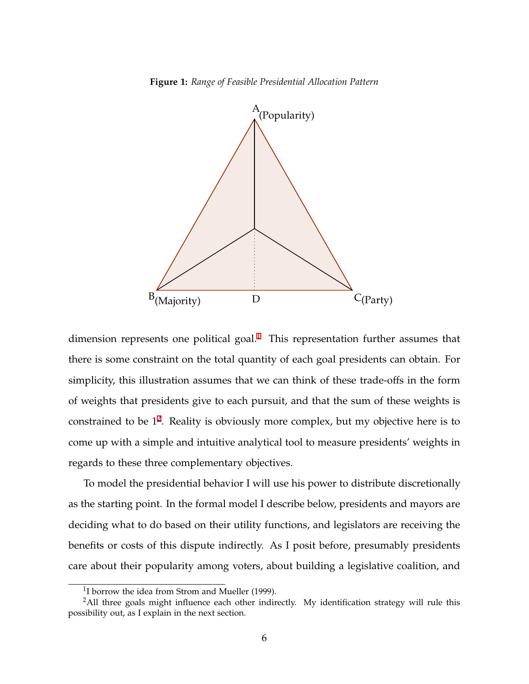**Figure 1:** *Range of Feasible Presidential Allocation Pattern*

<span id="page-6-0"></span>

dimension represents one political goal.<sup>1</sup> This representation further assumes that there is some constraint on the total quantity of each goal presidents can obtain. For simplicity, this illustration assumes that we can think of these trade-offs in the form of weights that presidents give to each pursuit, and that the sum of these weights is constrained to be  $1^2$ . Reality is obviously more complex, but my objective here is to come up with a simple and intuitive analytical tool to measure presidents' weights in regards to these three complementary objectives.

To model the presidential behavior I will use his power to distribute discretionally as the starting point. In the formal model I describe below, presidents and mayors are deciding what to do based on their utility functions, and legislators are receiving the benefits or costs of this dispute indirectly. As I posit before, presumably presidents care about their popularity among voters, about building a legislative coalition, and

 $1$ I borrow the idea from Strom and Mueller (1999).

 $2$ All three goals might influence each other indirectly. My identification strategy will rule this possibility out, as I explain in the next section.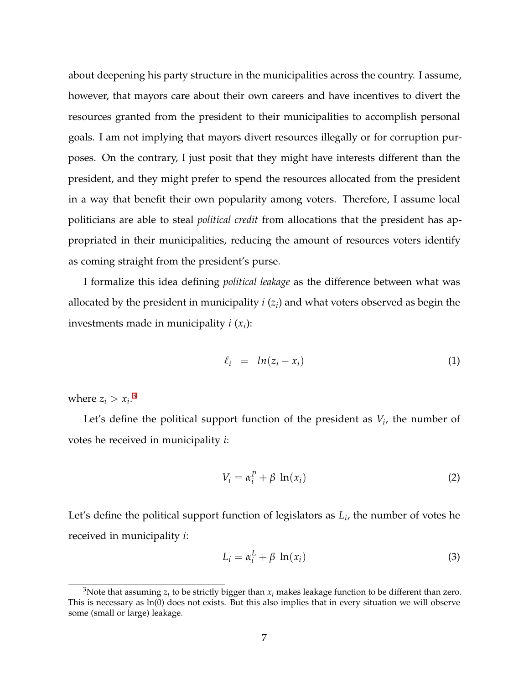about deepening his party structure in the municipalities across the country. I assume, however, that mayors care about their own careers and have incentives to divert the resources granted from the president to their municipalities to accomplish personal goals. I am not implying that mayors divert resources illegally or for corruption purposes. On the contrary, I just posit that they might have interests different than the president, and they might prefer to spend the resources allocated from the president in a way that benefit their own popularity among voters. Therefore, I assume local politicians are able to steal *political credit* from allocations that the president has appropriated in their municipalities, reducing the amount of resources voters identify as coming straight from the president's purse.

I formalize this idea defining *political leakage* as the difference between what was allocated by the president in municipality *i* (*z<sup>i</sup>* ) and what voters observed as begin the investments made in municipality *i* (*x<sup>i</sup>* ):

$$
\ell_i = ln(z_i - x_i) \tag{1}
$$

where  $z_i > x_i$ .<sup>3</sup>

Let's define the political support function of the president as *V<sup>i</sup>* , the number of votes he received in municipality *i*:

$$
V_i = \alpha_i^P + \beta \ln(x_i) \tag{2}
$$

Let's define the political support function of legislators as *L<sup>i</sup>* , the number of votes he received in municipality *i*:

$$
L_i = \alpha_i^L + \beta \ln(x_i) \tag{3}
$$

 $^3$ Note that assuming  $z_i$  to be strictly bigger than  $x_i$  makes leakage function to be different than zero. This is necessary as  $ln(0)$  does not exists. But this also implies that in every situation we will observe some (small or large) leakage.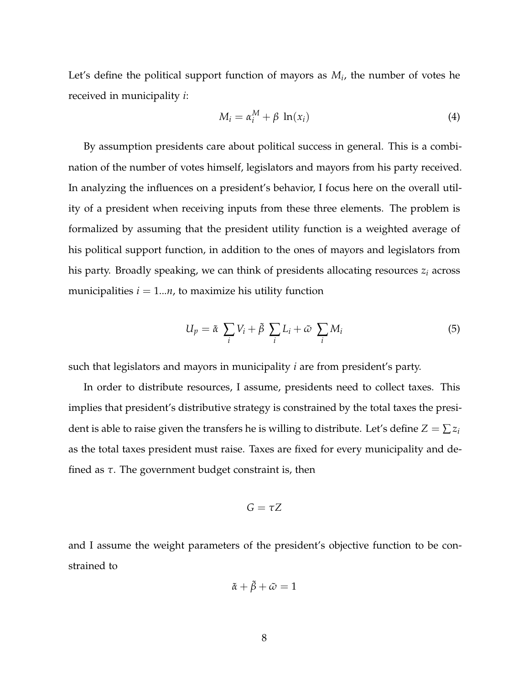Let's define the political support function of mayors as *M<sup>i</sup>* , the number of votes he received in municipality *i*:

<span id="page-8-1"></span>
$$
M_i = \alpha_i^M + \beta \ln(x_i) \tag{4}
$$

By assumption presidents care about political success in general. This is a combination of the number of votes himself, legislators and mayors from his party received. In analyzing the influences on a president's behavior, I focus here on the overall utility of a president when receiving inputs from these three elements. The problem is formalized by assuming that the president utility function is a weighted average of his political support function, in addition to the ones of mayors and legislators from his party. Broadly speaking, we can think of presidents allocating resources *z<sup>i</sup>* across municipalities  $i = 1...n$ , to maximize his utility function

<span id="page-8-0"></span>
$$
U_p = \tilde{\alpha} \sum_i V_i + \tilde{\beta} \sum_i L_i + \tilde{\omega} \sum_i M_i
$$
 (5)

such that legislators and mayors in municipality *i* are from president's party.

In order to distribute resources, I assume, presidents need to collect taxes. This implies that president's distributive strategy is constrained by the total taxes the president is able to raise given the transfers he is willing to distribute. Let's define  $Z = \sum z_i$ as the total taxes president must raise. Taxes are fixed for every municipality and defined as *τ*. The government budget constraint is, then

$$
G=\tau Z
$$

and I assume the weight parameters of the president's objective function to be constrained to

$$
\tilde{\alpha} + \tilde{\beta} + \tilde{\omega} = 1
$$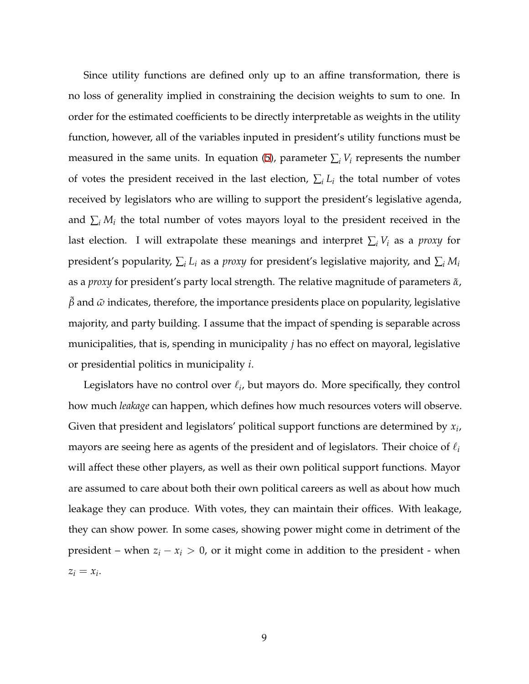Since utility functions are defined only up to an affine transformation, there is no loss of generality implied in constraining the decision weights to sum to one. In order for the estimated coefficients to be directly interpretable as weights in the utility function, however, all of the variables inputed in president's utility functions must be measured in the same units. In equation ([5\)](#page-8-0), parameter  $\sum_i V_i$  represents the number of votes the president received in the last election,  $\sum_i L_i$  the total number of votes received by legislators who are willing to support the president's legislative agenda, and  $\sum_i M_i$  the total number of votes mayors loyal to the president received in the last election. I will extrapolate these meanings and interpret  $\sum_i V_i$  as a *proxy* for president's popularity,  $\sum_i L_i$  as a *proxy* for president's legislative majority, and  $\sum_i M_i$ as a *proxy* for president's party local strength. The relative magnitude of parameters *α*˜, *β*˜ and *ω*˜ indicates, therefore, the importance presidents place on popularity, legislative majority, and party building. I assume that the impact of spending is separable across municipalities, that is, spending in municipality *j* has no effect on mayoral, legislative or presidential politics in municipality *i*.

Legislators have no control over  $ℓ<sub>i</sub>$ , but mayors do. More specifically, they control how much *leakage* can happen, which defines how much resources voters will observe. Given that president and legislators' political support functions are determined by *x<sup>i</sup>* , mayors are seeing here as agents of the president and of legislators. Their choice of *ℓ<sup>i</sup>* will affect these other players, as well as their own political support functions. Mayor are assumed to care about both their own political careers as well as about how much leakage they can produce. With votes, they can maintain their offices. With leakage, they can show power. In some cases, showing power might come in detriment of the president – when  $z_i - x_i > 0$ , or it might come in addition to the president - when  $z_i = x_i$ .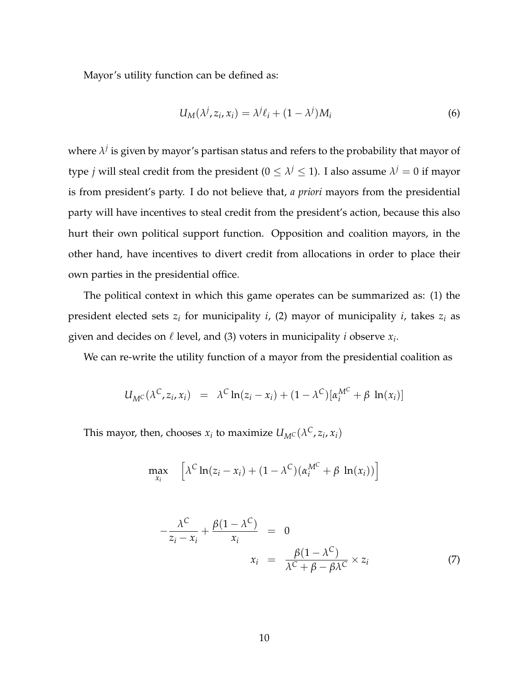Mayor's utility function can be defined as:

$$
U_M(\lambda^j, z_i, x_i) = \lambda^j \ell_i + (1 - \lambda^j) M_i
$$
\n(6)

where  $\lambda^j$  is given by mayor's partisan status and refers to the probability that mayor of type *j* will steal credit from the president ( $0 \leq \lambda^j \leq 1$ ). I also assume  $\lambda^j = 0$  if mayor is from president's party. I do not believe that, *a priori* mayors from the presidential party will have incentives to steal credit from the president's action, because this also hurt their own political support function. Opposition and coalition mayors, in the other hand, have incentives to divert credit from allocations in order to place their own parties in the presidential office.

The political context in which this game operates can be summarized as: (1) the president elected sets *z<sup>i</sup>* for municipality *i*, (2) mayor of municipality *i*, takes *z<sup>i</sup>* as given and decides on *ℓ* level, and (3) voters in municipality *i* observe *x<sup>i</sup>* .

We can re-write the utility function of a mayor from the presidential coalition as

$$
U_{M^C}(\lambda^C, z_i, x_i) = \lambda^C \ln(z_i - x_i) + (1 - \lambda^C) [\alpha_i^{M^C} + \beta \ln(x_i)]
$$

This mayor, then, chooses  $x_i$  to maximize  $U_{M}(\lambda^C, z_i, x_i)$ 

$$
\max_{x_i} \left[ \lambda^C \ln(z_i - x_i) + (1 - \lambda^C) (\alpha_i^{M^C} + \beta \ln(x_i)) \right]
$$

<span id="page-10-0"></span>
$$
-\frac{\lambda^{C}}{z_{i}-x_{i}} + \frac{\beta(1-\lambda^{C})}{x_{i}} = 0
$$
  

$$
x_{i} = \frac{\beta(1-\lambda^{C})}{\lambda^{C} + \beta - \beta\lambda^{C}} \times z_{i}
$$
 (7)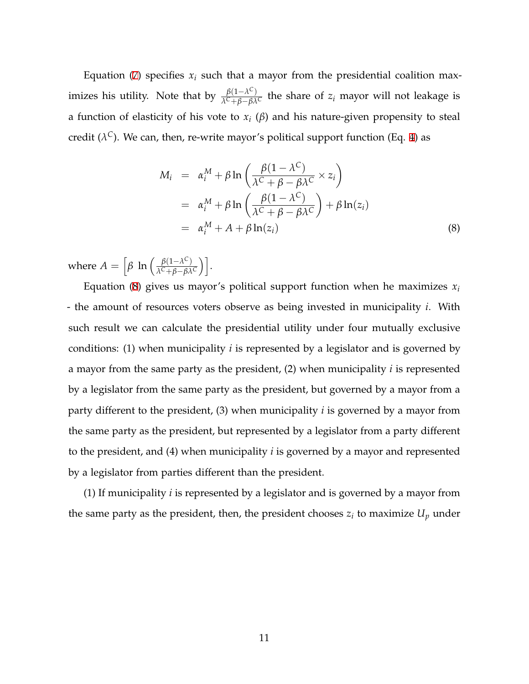Equation ([7\)](#page-10-0) specifies  $x_i$  such that a mayor from the presidential coalition maximizes his utility. Note that by  $\frac{\beta(1-\lambda^C)}{\lambda^C + \beta - \beta \lambda}$  $\frac{p(1-\lambda)}{\lambda^C + \beta - \beta \lambda^C}$  the share of *z<sub>i</sub>* mayor will not leakage is a function of elasticity of his vote to *x<sup>i</sup>* (*β*) and his nature-given propensity to steal credit (*λ <sup>C</sup>*). We can, then, re-write mayor's political support function (Eq. [4\)](#page-8-1) as

<span id="page-11-0"></span>
$$
M_i = \alpha_i^M + \beta \ln \left( \frac{\beta (1 - \lambda^C)}{\lambda^C + \beta - \beta \lambda^C} \times z_i \right)
$$
  
=  $\alpha_i^M + \beta \ln \left( \frac{\beta (1 - \lambda^C)}{\lambda^C + \beta - \beta \lambda^C} \right) + \beta \ln(z_i)$   
=  $\alpha_i^M + A + \beta \ln(z_i)$  (8)

where  $A = \int \beta \ln \left( \frac{\beta(1-\lambda^C)}{\lambda^C + \beta - \beta \lambda} \right)$  $\frac{\beta(1-\lambda^C)}{\lambda^C+\beta-\beta\lambda^C}$ ).

Equation ([8\)](#page-11-0) gives us mayor's political support function when he maximizes  $x_i$ - the amount of resources voters observe as being invested in municipality *i*. With such result we can calculate the presidential utility under four mutually exclusive conditions: (1) when municipality *i* is represented by a legislator and is governed by a mayor from the same party as the president, (2) when municipality *i* is represented by a legislator from the same party as the president, but governed by a mayor from a party different to the president, (3) when municipality *i* is governed by a mayor from the same party as the president, but represented by a legislator from a party different to the president, and (4) when municipality *i* is governed by a mayor and represented by a legislator from parties different than the president.

(1) If municipality *i* is represented by a legislator and is governed by a mayor from the same party as the president, then, the president chooses  $z_i$  to maximize  $U_p$  under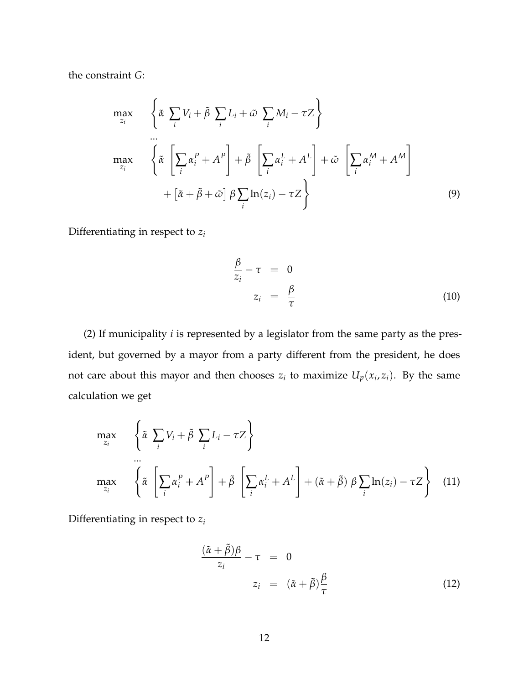the constraint *G*:

$$
\max_{z_i} \left\{ \tilde{\alpha} \sum_i V_i + \tilde{\beta} \sum_i L_i + \tilde{\omega} \sum_i M_i - \tau Z \right\}
$$
\n
$$
\max_{z_i} \left\{ \tilde{\alpha} \left[ \sum_i \alpha_i^P + A^P \right] + \tilde{\beta} \left[ \sum_i \alpha_i^L + A^L \right] + \tilde{\omega} \left[ \sum_i \alpha_i^M + A^M \right] + \left[ \tilde{\alpha} + \tilde{\beta} + \tilde{\omega} \right] \beta \sum_i \ln(z_i) - \tau Z \right\}
$$
\n(9)

Differentiating in respect to *z<sup>i</sup>*

$$
\frac{\beta}{z_i} - \tau = 0
$$
  

$$
z_i = \frac{\beta}{\tau}
$$
 (10)

(2) If municipality *i* is represented by a legislator from the same party as the president, but governed by a mayor from a party different from the president, he does not care about this mayor and then chooses  $z_i$  to maximize  $U_p(x_i, z_i)$ . By the same calculation we get

$$
\max_{z_i} \left\{ \tilde{\alpha} \sum_i V_i + \tilde{\beta} \sum_i L_i - \tau Z \right\}
$$
\n
$$
\max_{z_i} \left\{ \tilde{\alpha} \left[ \sum_i \alpha_i^P + A^P \right] + \tilde{\beta} \left[ \sum_i \alpha_i^L + A^L \right] + (\tilde{\alpha} + \tilde{\beta}) \beta \sum_i \ln(z_i) - \tau Z \right\} \tag{11}
$$

Differentiating in respect to *z<sup>i</sup>*

$$
\frac{(\tilde{\alpha} + \tilde{\beta})\beta}{z_i} - \tau = 0
$$
  

$$
z_i = (\tilde{\alpha} + \tilde{\beta})\frac{\beta}{\tau}
$$
 (12)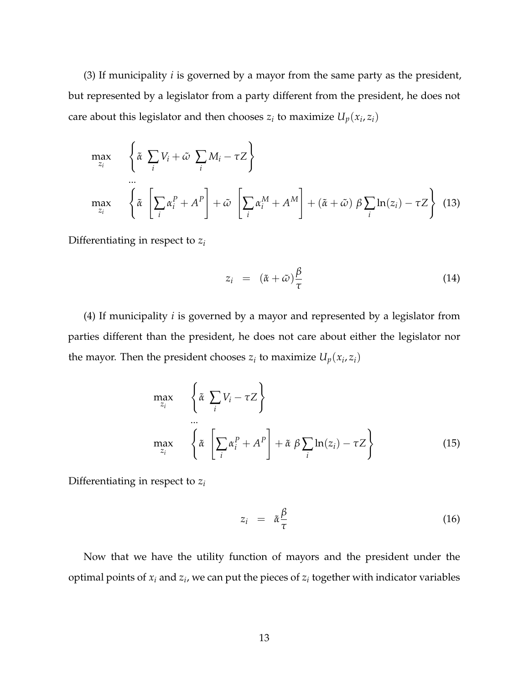(3) If municipality *i* is governed by a mayor from the same party as the president, but represented by a legislator from a party different from the president, he does not care about this legislator and then chooses  $z_i$  to maximize  $U_p(x_i, z_i)$ 

$$
\max_{z_i} \left\{ \tilde{\alpha} \sum_i V_i + \tilde{\omega} \sum_i M_i - \tau Z \right\}
$$
\n
$$
\max_{z_i} \left\{ \tilde{\alpha} \left[ \sum_i \alpha_i^P + A^P \right] + \tilde{\omega} \left[ \sum_i \alpha_i^M + A^M \right] + (\tilde{\alpha} + \tilde{\omega}) \beta \sum_i \ln(z_i) - \tau Z \right\} (13)
$$

Differentiating in respect to *z<sup>i</sup>*

$$
z_i = (\tilde{\alpha} + \tilde{\omega}) \frac{\beta}{\tau}
$$
 (14)

(4) If municipality *i* is governed by a mayor and represented by a legislator from parties different than the president, he does not care about either the legislator nor the mayor. Then the president chooses  $z_i$  to maximize  $U_p(x_i, z_i)$ 

$$
\max_{z_i} \left\{ \tilde{\alpha} \sum_i V_i - \tau Z \right\}
$$
\n
$$
\max_{z_i} \left\{ \tilde{\alpha} \left[ \sum_i \alpha_i^P + A^P \right] + \tilde{\alpha} \beta \sum_i \ln(z_i) - \tau Z \right\}
$$
\n(15)

Differentiating in respect to *z<sup>i</sup>*

$$
z_i = \tilde{\alpha} \frac{\beta}{\tau} \tag{16}
$$

Now that we have the utility function of mayors and the president under the optimal points of  $x_i$  and  $z_i$ , we can put the pieces of  $z_i$  together with indicator variables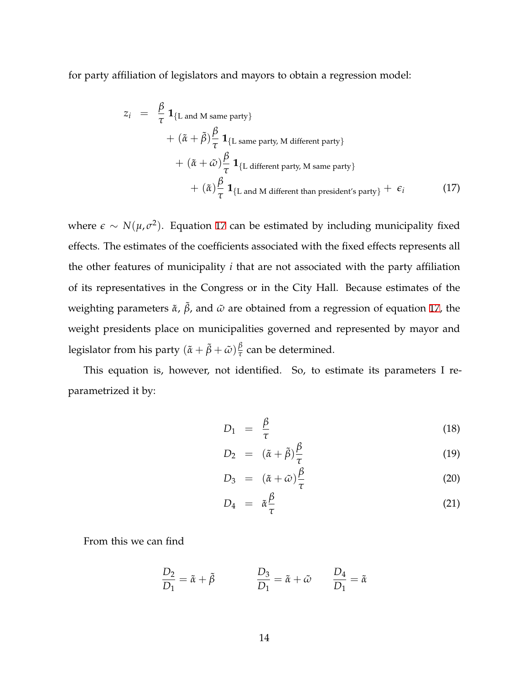for party affiliation of legislators and mayors to obtain a regression model:

<span id="page-14-0"></span>
$$
z_i = \frac{\beta}{\tau} \mathbf{1}_{\{L \text{ and } M \text{ same party}\}} + (\tilde{\alpha} + \tilde{\beta}) \frac{\beta}{\tau} \mathbf{1}_{\{L \text{ same party, } M \text{ different party}\}} + (\tilde{\alpha} + \tilde{\omega}) \frac{\beta}{\tau} \mathbf{1}_{\{L \text{ different party, } M \text{ same party}\}} + (\tilde{\alpha}) \frac{\beta}{\tau} \mathbf{1}_{\{L \text{ and } M \text{ different than president's party}\}} + \epsilon_i
$$
(17)

where  $\epsilon$  ∼  $N(\mu, \sigma^2)$ . Equation [17](#page-14-0) can be estimated by including municipality fixed effects. The estimates of the coefficients associated with the fixed effects represents all the other features of municipality *i* that are not associated with the party affiliation of its representatives in the Congress or in the City Hall. Because estimates of the weighting parameters  $\tilde{\alpha}$ ,  $\tilde{\beta}$ , and  $\tilde{\omega}$  are obtained from a regression of equation [17](#page-14-0), the weight presidents place on municipalities governed and represented by mayor and legislator from his party  $(\tilde{\alpha} + \tilde{\beta} + \tilde{\omega})\frac{\beta}{\tau}$  $\frac{p}{\tau}$  can be determined.

This equation is, however, not identified. So, to estimate its parameters I reparametrized it by:

<span id="page-14-1"></span>
$$
D_1 = \frac{\beta}{\tau} \tag{18}
$$

$$
D_2 = (\tilde{\alpha} + \tilde{\beta})\frac{\beta}{\tau} \tag{19}
$$

$$
D_3 = (\tilde{\alpha} + \tilde{\omega}) \frac{\beta}{\tau} \tag{20}
$$

$$
D_4 = \tilde{\alpha} \frac{\beta}{\tau} \tag{21}
$$

From this we can find

$$
\frac{D_2}{D_1} = \tilde{\alpha} + \tilde{\beta} \qquad \qquad \frac{D_3}{D_1} = \tilde{\alpha} + \tilde{\omega} \qquad \frac{D_4}{D_1} = \tilde{\alpha}
$$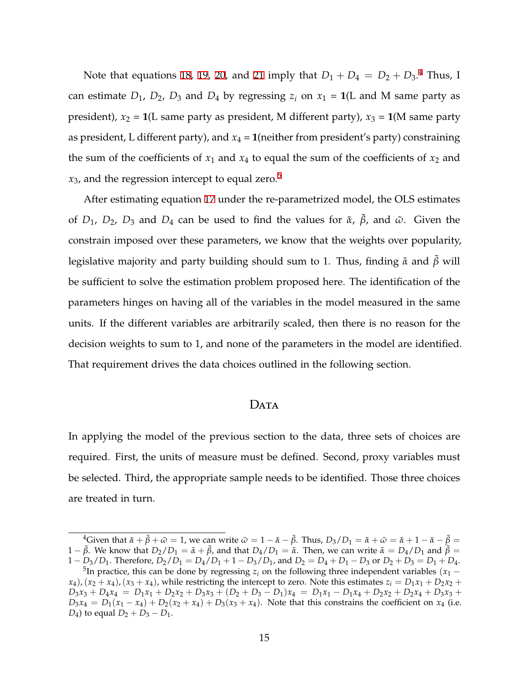Note that equations [18](#page-14-1), [19](#page-14-1), [20,](#page-14-1) and [21](#page-14-1) imply that  $D_1 + D_4 = D_2 + D_3.4$  Thus, I can estimate  $D_1$ ,  $D_2$ ,  $D_3$  and  $D_4$  by regressing  $z_i$  on  $x_1 = 1$ (L and M same party as president),  $x_2 = 1$ (L same party as president, M different party),  $x_3 = 1$ (M same party as president, L different party), and  $x_4 = 1$ (neither from president's party) constraining the sum of the coefficients of  $x_1$  and  $x_4$  to equal the sum of the coefficients of  $x_2$  and  $x_3$ , and the regression intercept to equal zero.<sup>5</sup>

After estimating equation [17](#page-14-0) under the re-parametrized model, the OLS estimates of *D*<sub>1</sub>, *D*<sub>2</sub>, *D*<sub>3</sub> and *D*<sub>4</sub> can be used to find the values for  $\tilde{\alpha}$ ,  $\tilde{\beta}$ , and  $\tilde{\omega}$ . Given the constrain imposed over these parameters, we know that the weights over popularity, legislative majority and party building should sum to 1. Thus, finding  $\tilde{\alpha}$  and  $\tilde{\beta}$  will be sufficient to solve the estimation problem proposed here. The identification of the parameters hinges on having all of the variables in the model measured in the same units. If the different variables are arbitrarily scaled, then there is no reason for the decision weights to sum to 1, and none of the parameters in the model are identified. That requirement drives the data choices outlined in the following section.

## DATA

In applying the model of the previous section to the data, three sets of choices are required. First, the units of measure must be defined. Second, proxy variables must be selected. Third, the appropriate sample needs to be identified. Those three choices are treated in turn.

<sup>&</sup>lt;sup>4</sup>Given that  $\tilde{\alpha} + \tilde{\beta} + \tilde{\omega} = 1$ , we can write  $\tilde{\omega} = 1 - \tilde{\alpha} - \tilde{\beta}$ . Thus,  $D_3/D_1 = \tilde{\alpha} + \tilde{\omega} = \tilde{\alpha} + 1 - \tilde{\alpha} - \tilde{\beta} =$  $1 - \tilde{\beta}$ . We know that  $D_2/D_1 = \tilde{\alpha} + \tilde{\beta}$ , and that  $D_4/D_1 = \tilde{\alpha}$ . Then, we can write  $\tilde{\alpha} = D_4/D_1$  and  $\tilde{\beta} =$  $1 - D_3/D_1$ . Therefore,  $D_2/D_1 = D_4/D_1 + 1 - D_3/D_1$ , and  $D_2 = D_4 + D_1 - D_3$  or  $D_2 + D_3 = D_1 + D_4$ .

<sup>&</sup>lt;sup>5</sup>In practice, this can be done by regressing  $z_i$  on the following three independent variables ( $x_1$  −  $(x_4)$ ,  $(x_2 + x_4)$ ,  $(x_3 + x_4)$ , while restricting the intercept to zero. Note this estimates  $z_i = D_1 x_1 + D_2 x_2 + D_3 x_3$  $D_3x_3 + D_4x_4 = D_1x_1 + D_2x_2 + D_3x_3 + (D_2 + D_3 - D_1)x_4 = D_1x_1 - D_1x_4 + D_2x_2 + D_2x_4 + D_3x_3 +$  $D_3x_4 = D_1(x_1 - x_4) + D_2(x_2 + x_4) + D_3(x_3 + x_4)$ . Note that this constrains the coefficient on  $x_4$  (i.e. *D*<sub>4</sub>) to equal  $D_2 + D_3 - D_1$ .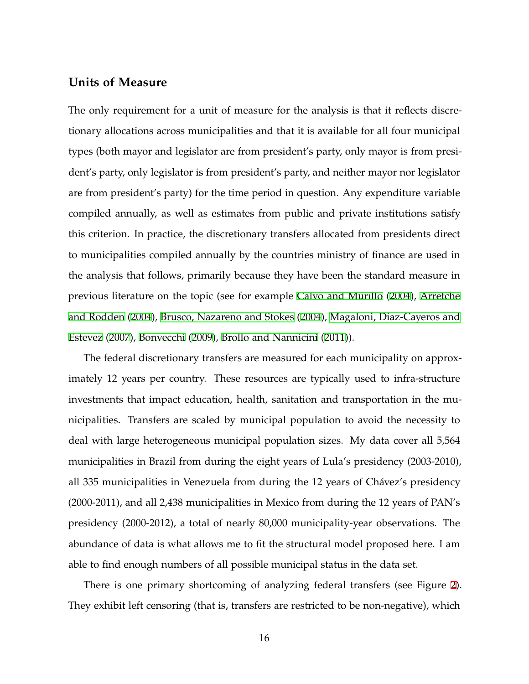## **Units of Measure**

The only requirement for a unit of measure for the analysis is that it reflects discretionary allocations across municipalities and that it is available for all four municipal types (both mayor and legislator are from president's party, only mayor is from president's party, only legislator is from president's party, and neither mayor nor legislator are from president's party) for the time period in question. Any expenditure variable compiled annually, as well as estimates from public and private institutions satisfy this criterion. In practice, the discretionary transfers allocated from presidents direct to municipalities compiled annually by the countries ministry of finance are used in the analysis that follows, primarily because they have been the standard measure in previous literature on the topic (see for example [Calvo and Murillo](#page-34-7) [\(2004](#page-34-7)), [Arretche](#page-34-2) [and Rodden](#page-34-2) ([2004\)](#page-34-2), [Brusco, Nazareno and Stokes](#page-34-0) ([2004\)](#page-34-0), [Magaloni, Diaz-Cayeros and](#page-36-0) [Estevez](#page-36-0) [\(2007](#page-36-0)), [Bonvecchi](#page-34-4) [\(2009](#page-34-4)), [Brollo and Nannicini](#page-34-5) ([2011\)](#page-34-5)).

The federal discretionary transfers are measured for each municipality on approximately 12 years per country. These resources are typically used to infra-structure investments that impact education, health, sanitation and transportation in the municipalities. Transfers are scaled by municipal population to avoid the necessity to deal with large heterogeneous municipal population sizes. My data cover all 5,564 municipalities in Brazil from during the eight years of Lula's presidency (2003-2010), all 335 municipalities in Venezuela from during the 12 years of Chávez's presidency (2000-2011), and all 2,438 municipalities in Mexico from during the 12 years of PAN's presidency (2000-2012), a total of nearly 80,000 municipality-year observations. The abundance of data is what allows me to fit the structural model proposed here. I am able to find enough numbers of all possible municipal status in the data set.

There is one primary shortcoming of analyzing federal transfers (see Figure [2\)](#page-18-0). They exhibit left censoring (that is, transfers are restricted to be non-negative), which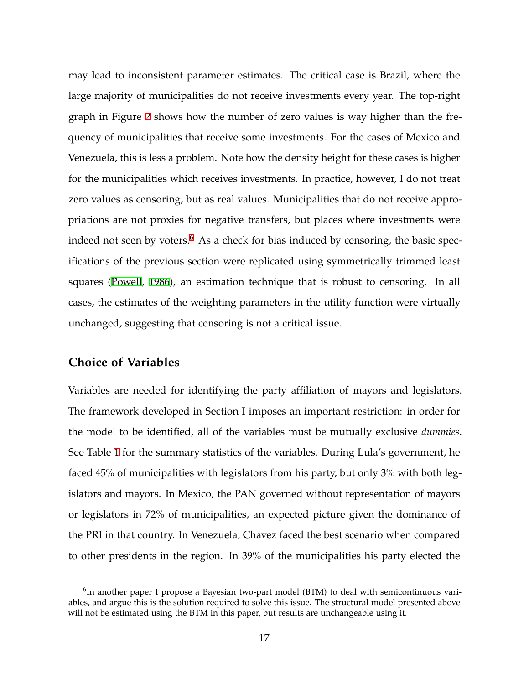may lead to inconsistent parameter estimates. The critical case is Brazil, where the large majority of municipalities do not receive investments every year. The top-right graph in Figure [2](#page-18-0) shows how the number of zero values is way higher than the frequency of municipalities that receive some investments. For the cases of Mexico and Venezuela, this is less a problem. Note how the density height for these cases is higher for the municipalities which receives investments. In practice, however, I do not treat zero values as censoring, but as real values. Municipalities that do not receive appropriations are not proxies for negative transfers, but places where investments were indeed not seen by voters. $6$  As a check for bias induced by censoring, the basic specifications of the previous section were replicated using symmetrically trimmed least squares ([Powell](#page-37-5), [1986\)](#page-37-5), an estimation technique that is robust to censoring. In all cases, the estimates of the weighting parameters in the utility function were virtually unchanged, suggesting that censoring is not a critical issue.

## **Choice of Variables**

Variables are needed for identifying the party affiliation of mayors and legislators. The framework developed in Section I imposes an important restriction: in order for the model to be identified, all of the variables must be mutually exclusive *dummies*. See Table [1](#page-19-0) for the summary statistics of the variables. During Lula's government, he faced 45% of municipalities with legislators from his party, but only 3% with both legislators and mayors. In Mexico, the PAN governed without representation of mayors or legislators in 72% of municipalities, an expected picture given the dominance of the PRI in that country. In Venezuela, Chavez faced the best scenario when compared to other presidents in the region. In 39% of the municipalities his party elected the

<sup>&</sup>lt;sup>6</sup>In another paper I propose a Bayesian two-part model (BTM) to deal with semicontinuous variables, and argue this is the solution required to solve this issue. The structural model presented above will not be estimated using the BTM in this paper, but results are unchangeable using it.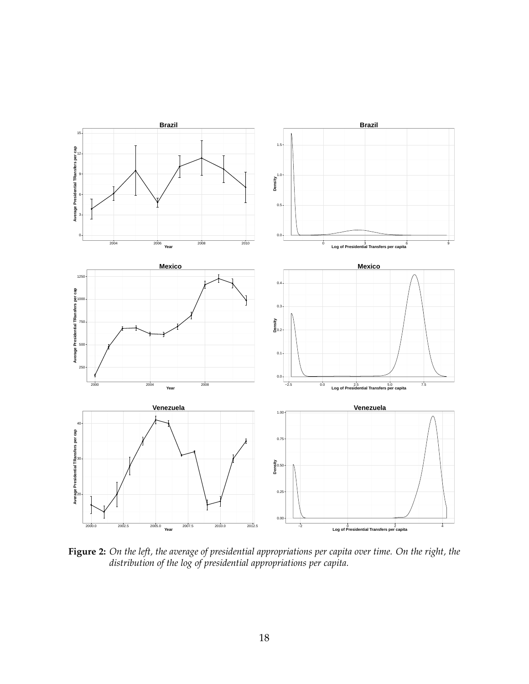<span id="page-18-0"></span>

**Figure 2:** *On the left, the average of presidential appropriations per capita over time. On the right, the distribution of the log of presidential appropriations per capita.*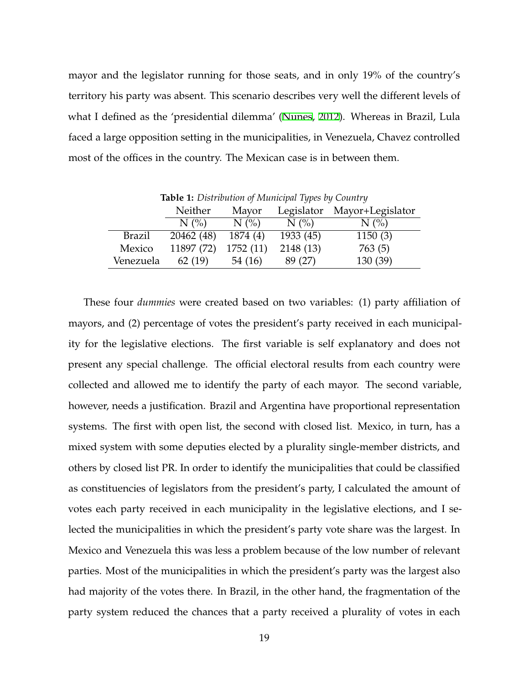mayor and the legislator running for those seats, and in only 19% of the country's territory his party was absent. This scenario describes very well the different levels of what I defined as the 'presidential dilemma' ([Nunes,](#page-37-6) [2012\)](#page-37-6). Whereas in Brazil, Lula faced a large opposition setting in the municipalities, in Venezuela, Chavez controlled most of the offices in the country. The Mexican case is in between them.

<span id="page-19-0"></span>**Table 1:** *Distribution of Municipal Types by Country* Neither Mayor Legislator Mayor+Legislator  $N$  (%)  $N$  (%)  $N$  (%)  $N$  (%) Brazil 20462 (48) 1874 (4) 1933 (45) 1150 (3) Mexico 11897 (72) 1752 (11) 2148 (13) 763 (5) Venezuela 62 (19) 54 (16) 89 (27) 130 (39)

These four *dummies* were created based on two variables: (1) party affiliation of mayors, and (2) percentage of votes the president's party received in each municipality for the legislative elections. The first variable is self explanatory and does not present any special challenge. The official electoral results from each country were collected and allowed me to identify the party of each mayor. The second variable, however, needs a justification. Brazil and Argentina have proportional representation systems. The first with open list, the second with closed list. Mexico, in turn, has a mixed system with some deputies elected by a plurality single-member districts, and others by closed list PR. In order to identify the municipalities that could be classified as constituencies of legislators from the president's party, I calculated the amount of votes each party received in each municipality in the legislative elections, and I selected the municipalities in which the president's party vote share was the largest. In Mexico and Venezuela this was less a problem because of the low number of relevant parties. Most of the municipalities in which the president's party was the largest also had majority of the votes there. In Brazil, in the other hand, the fragmentation of the party system reduced the chances that a party received a plurality of votes in each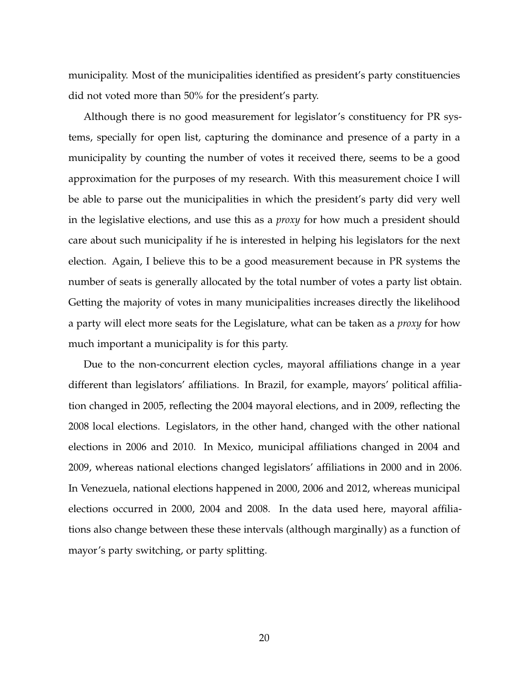municipality. Most of the municipalities identified as president's party constituencies did not voted more than 50% for the president's party.

Although there is no good measurement for legislator's constituency for PR systems, specially for open list, capturing the dominance and presence of a party in a municipality by counting the number of votes it received there, seems to be a good approximation for the purposes of my research. With this measurement choice I will be able to parse out the municipalities in which the president's party did very well in the legislative elections, and use this as a *proxy* for how much a president should care about such municipality if he is interested in helping his legislators for the next election. Again, I believe this to be a good measurement because in PR systems the number of seats is generally allocated by the total number of votes a party list obtain. Getting the majority of votes in many municipalities increases directly the likelihood a party will elect more seats for the Legislature, what can be taken as a *proxy* for how much important a municipality is for this party.

Due to the non-concurrent election cycles, mayoral affiliations change in a year different than legislators' affiliations. In Brazil, for example, mayors' political affiliation changed in 2005, reflecting the 2004 mayoral elections, and in 2009, reflecting the 2008 local elections. Legislators, in the other hand, changed with the other national elections in 2006 and 2010. In Mexico, municipal affiliations changed in 2004 and 2009, whereas national elections changed legislators' affiliations in 2000 and in 2006. In Venezuela, national elections happened in 2000, 2006 and 2012, whereas municipal elections occurred in 2000, 2004 and 2008. In the data used here, mayoral affiliations also change between these these intervals (although marginally) as a function of mayor's party switching, or party splitting.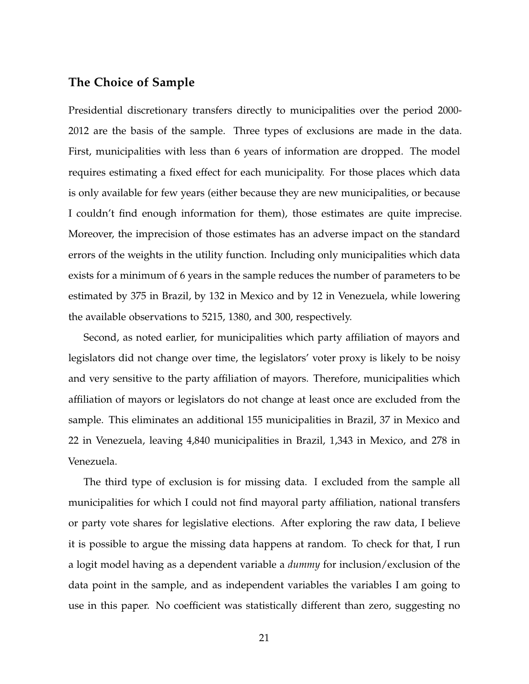# **The Choice of Sample**

Presidential discretionary transfers directly to municipalities over the period 2000- 2012 are the basis of the sample. Three types of exclusions are made in the data. First, municipalities with less than 6 years of information are dropped. The model requires estimating a fixed effect for each municipality. For those places which data is only available for few years (either because they are new municipalities, or because I couldn't find enough information for them), those estimates are quite imprecise. Moreover, the imprecision of those estimates has an adverse impact on the standard errors of the weights in the utility function. Including only municipalities which data exists for a minimum of 6 years in the sample reduces the number of parameters to be estimated by 375 in Brazil, by 132 in Mexico and by 12 in Venezuela, while lowering the available observations to 5215, 1380, and 300, respectively.

Second, as noted earlier, for municipalities which party affiliation of mayors and legislators did not change over time, the legislators' voter proxy is likely to be noisy and very sensitive to the party affiliation of mayors. Therefore, municipalities which affiliation of mayors or legislators do not change at least once are excluded from the sample. This eliminates an additional 155 municipalities in Brazil, 37 in Mexico and 22 in Venezuela, leaving 4,840 municipalities in Brazil, 1,343 in Mexico, and 278 in Venezuela.

The third type of exclusion is for missing data. I excluded from the sample all municipalities for which I could not find mayoral party affiliation, national transfers or party vote shares for legislative elections. After exploring the raw data, I believe it is possible to argue the missing data happens at random. To check for that, I run a logit model having as a dependent variable a *dummy* for inclusion/exclusion of the data point in the sample, and as independent variables the variables I am going to use in this paper. No coefficient was statistically different than zero, suggesting no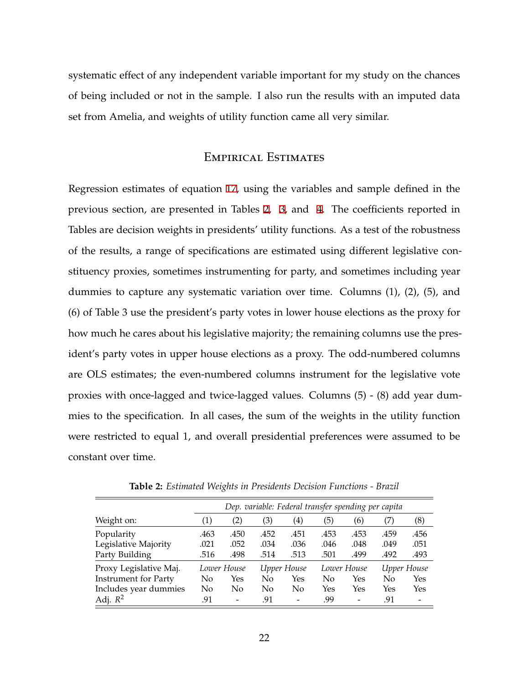systematic effect of any independent variable important for my study on the chances of being included or not in the sample. I also run the results with an imputed data set from Amelia, and weights of utility function came all very similar.

## Empirical Estimates

Regression estimates of equation [17,](#page-14-0) using the variables and sample defined in the previous section, are presented in Tables [2](#page-22-0), [3,](#page-24-0) and [4](#page-24-1). The coefficients reported in Tables are decision weights in presidents' utility functions. As a test of the robustness of the results, a range of specifications are estimated using different legislative constituency proxies, sometimes instrumenting for party, and sometimes including year dummies to capture any systematic variation over time. Columns (1), (2), (5), and (6) of Table 3 use the president's party votes in lower house elections as the proxy for how much he cares about his legislative majority; the remaining columns use the president's party votes in upper house elections as a proxy. The odd-numbered columns are OLS estimates; the even-numbered columns instrument for the legislative vote proxies with once-lagged and twice-lagged values. Columns (5) - (8) add year dummies to the specification. In all cases, the sum of the weights in the utility function were restricted to equal 1, and overall presidential preferences were assumed to be constant over time.

<span id="page-22-0"></span>

|                             | Dep. variable: Federal transfer spending per capita |                          |             |                  |             |                 |             |      |
|-----------------------------|-----------------------------------------------------|--------------------------|-------------|------------------|-------------|-----------------|-------------|------|
| Weight on:                  | $\left( 1\right)$                                   | (2)                      | (3)         | $\left(4\right)$ | (5)         | (6)             | (7)         | (8)  |
| Popularity                  | .463                                                | .450                     | .452        | .451             | .453        | .453            | .459        | .456 |
| Legislative Majority        | .021                                                | .052                     | .034        | .036             | .046        | .048            | .049        | .051 |
| Party Building              | .516                                                | .498                     | .514        | .513             | .501        | .499            | .492        | .493 |
| Proxy Legislative Maj.      | Lower House                                         |                          | Upper House |                  | Lower House |                 | Upper House |      |
| <b>Instrument for Party</b> | No                                                  | Yes                      | No          | Yes              | No          | Yes             | No          | Yes  |
| Includes year dummies       | No                                                  | No                       | No          | No               | Yes         | Yes             | Yes         | Yes  |
| Adj. $R^2$                  | .91                                                 | $\overline{\phantom{a}}$ | .91         |                  | .99         | $\qquad \qquad$ | .91         |      |

**Table 2:** *Estimated Weights in Presidents Decision Functions - Brazil*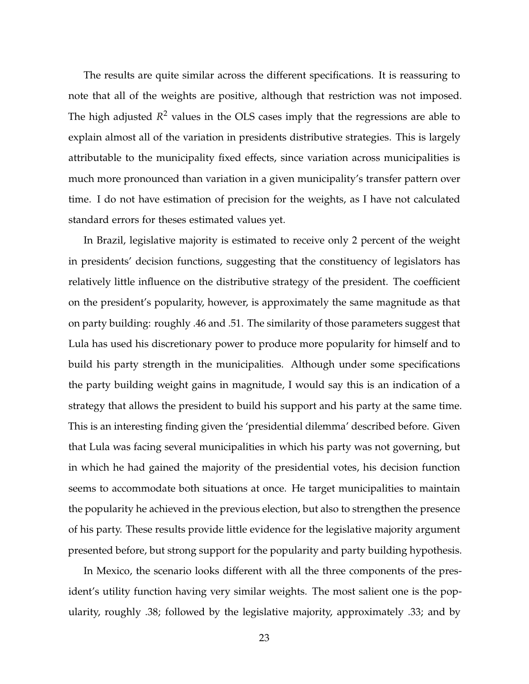The results are quite similar across the different specifications. It is reassuring to note that all of the weights are positive, although that restriction was not imposed. The high adjusted *R* <sup>2</sup> values in the OLS cases imply that the regressions are able to explain almost all of the variation in presidents distributive strategies. This is largely attributable to the municipality fixed effects, since variation across municipalities is much more pronounced than variation in a given municipality's transfer pattern over time. I do not have estimation of precision for the weights, as I have not calculated standard errors for theses estimated values yet.

In Brazil, legislative majority is estimated to receive only 2 percent of the weight in presidents' decision functions, suggesting that the constituency of legislators has relatively little influence on the distributive strategy of the president. The coefficient on the president's popularity, however, is approximately the same magnitude as that on party building: roughly .46 and .51. The similarity of those parameters suggest that Lula has used his discretionary power to produce more popularity for himself and to build his party strength in the municipalities. Although under some specifications the party building weight gains in magnitude, I would say this is an indication of a strategy that allows the president to build his support and his party at the same time. This is an interesting finding given the 'presidential dilemma' described before. Given that Lula was facing several municipalities in which his party was not governing, but in which he had gained the majority of the presidential votes, his decision function seems to accommodate both situations at once. He target municipalities to maintain the popularity he achieved in the previous election, but also to strengthen the presence of his party. These results provide little evidence for the legislative majority argument presented before, but strong support for the popularity and party building hypothesis.

In Mexico, the scenario looks different with all the three components of the president's utility function having very similar weights. The most salient one is the popularity, roughly .38; followed by the legislative majority, approximately .33; and by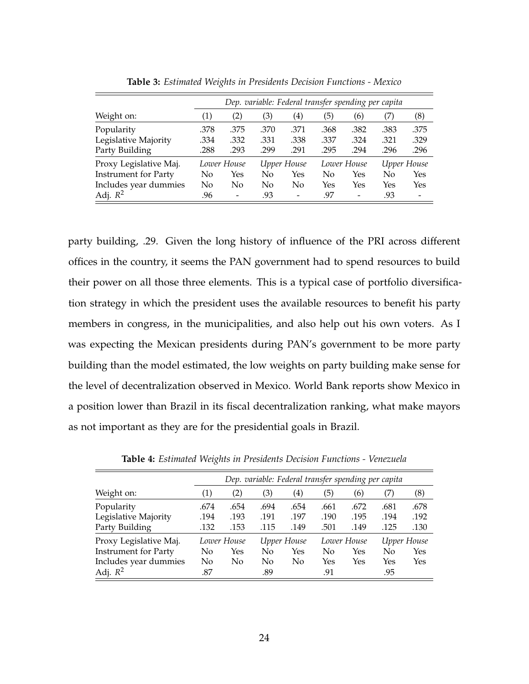<span id="page-24-0"></span>

|                             | Dep. variable: Federal transfer spending per capita |                          |             |                          |             |                 |             |      |
|-----------------------------|-----------------------------------------------------|--------------------------|-------------|--------------------------|-------------|-----------------|-------------|------|
| Weight on:                  | $\left( 1\right)$                                   | (2)                      | (3)         | $\left(4\right)$         | (5)         | (6)             | (7)         | (8)  |
| Popularity                  | .378                                                | .375                     | .370        | .371                     | .368        | .382            | .383        | .375 |
| Legislative Majority        | .334                                                | .332                     | .331        | .338                     | .337        | .324            | .321        | .329 |
| Party Building              | .288                                                | .293                     | .299        | .291                     | .295        | .294            | .296        | .296 |
| Proxy Legislative Maj.      | Lower House                                         |                          | Upper House |                          | Lower House |                 | Upper House |      |
| <b>Instrument for Party</b> | No                                                  | Yes                      | No          | Yes                      | No          | Yes             | No          | Yes  |
| Includes year dummies       | No                                                  | No                       | No          | No                       | Yes         | Yes             | Yes         | Yes  |
| Adj. $R^2$                  | .96                                                 | $\overline{\phantom{0}}$ | .93         | $\overline{\phantom{a}}$ | .97         | $\qquad \qquad$ | .93         |      |

**Table 3:** *Estimated Weights in Presidents Decision Functions - Mexico*

party building, .29. Given the long history of influence of the PRI across different offices in the country, it seems the PAN government had to spend resources to build their power on all those three elements. This is a typical case of portfolio diversification strategy in which the president uses the available resources to benefit his party members in congress, in the municipalities, and also help out his own voters. As I was expecting the Mexican presidents during PAN's government to be more party building than the model estimated, the low weights on party building make sense for the level of decentralization observed in Mexico. World Bank reports show Mexico in a position lower than Brazil in its fiscal decentralization ranking, what make mayors as not important as they are for the presidential goals in Brazil.

<span id="page-24-1"></span>

|                             | Dep. variable: Federal transfer spending per capita |      |             |      |             |      |             |      |
|-----------------------------|-----------------------------------------------------|------|-------------|------|-------------|------|-------------|------|
| Weight on:                  | $\left( 1\right)$                                   | (2)  | (3)         | 4)   | (5)         | (6)  | 7)          | (8)  |
| Popularity                  | .674                                                | .654 | .694        | .654 | .661        | .672 | .681        | .678 |
| Legislative Majority        | .194                                                | .193 | .191        | .197 | .190        | .195 | .194        | .192 |
| Party Building              | .132                                                | .153 | .115        | .149 | .501        | .149 | .125        | .130 |
| Proxy Legislative Maj.      | Lower House                                         |      | Upper House |      | Lower House |      | Upper House |      |
| <b>Instrument for Party</b> | No                                                  | Yes  | No          | Yes  | No          | Yes  | No          | Yes  |
| Includes year dummies       | No                                                  | No   | No.         | No   | Yes         | Yes  | Yes         | Yes  |
| Adj. $R^2$                  | .87                                                 |      | .89         |      | .91         |      | .95         |      |

**Table 4:** *Estimated Weights in Presidents Decision Functions - Venezuela*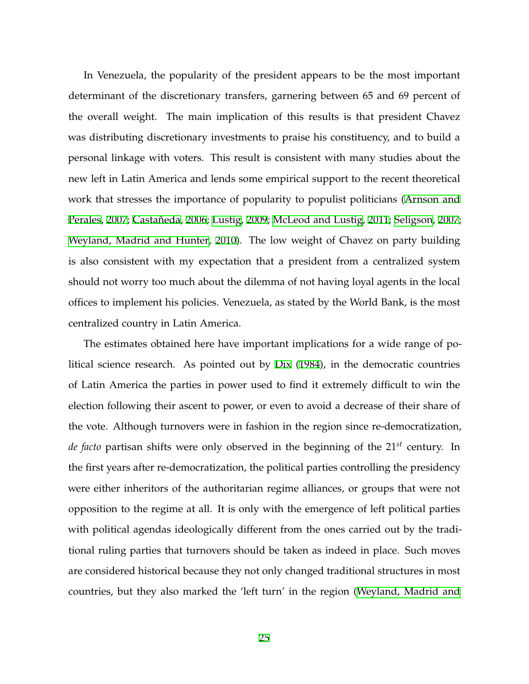In Venezuela, the popularity of the president appears to be the most important determinant of the discretionary transfers, garnering between 65 and 69 percent of the overall weight. The main implication of this results is that president Chavez was distributing discretionary investments to praise his constituency, and to build a personal linkage with voters. This result is consistent with many studies about the new left in Latin America and lends some empirical support to the recent theoretical work that stresses the importance of popularity to populist politicians [\(Arnson and](#page-33-4) [Perales](#page-33-4), [2007](#page-33-4); [Castañeda](#page-34-8), [2006](#page-34-8); [Lustig](#page-36-5), [2009;](#page-36-5) [McLeod and Lustig,](#page-36-6) [2011](#page-36-6); [Seligson](#page-37-7), [2007](#page-37-7); [Weyland, Madrid and Hunter,](#page-38-1) [2010](#page-38-1)). The low weight of Chavez on party building is also consistent with my expectation that a president from a centralized system should not worry too much about the dilemma of not having loyal agents in the local offices to implement his policies. Venezuela, as stated by the World Bank, is the most centralized country in Latin America.

The estimates obtained here have important implications for a wide range of political science research. As pointed out by [Dix](#page-35-7) [\(1984](#page-35-7)), in the democratic countries of Latin America the parties in power used to find it extremely difficult to win the election following their ascent to power, or even to avoid a decrease of their share of the vote. Although turnovers were in fashion in the region since re-democratization, *de facto* partisan shifts were only observed in the beginning of the 21*st* century. In the first years after re-democratization, the political parties controlling the presidency were either inheritors of the authoritarian regime alliances, or groups that were not opposition to the regime at all. It is only with the emergence of left political parties with political agendas ideologically different from the ones carried out by the traditional ruling parties that turnovers should be taken as indeed in place. Such moves are considered historical because they not only changed traditional structures in most countries, but they also marked the 'left turn' in the region [\(Weyland, Madrid and](#page-38-1)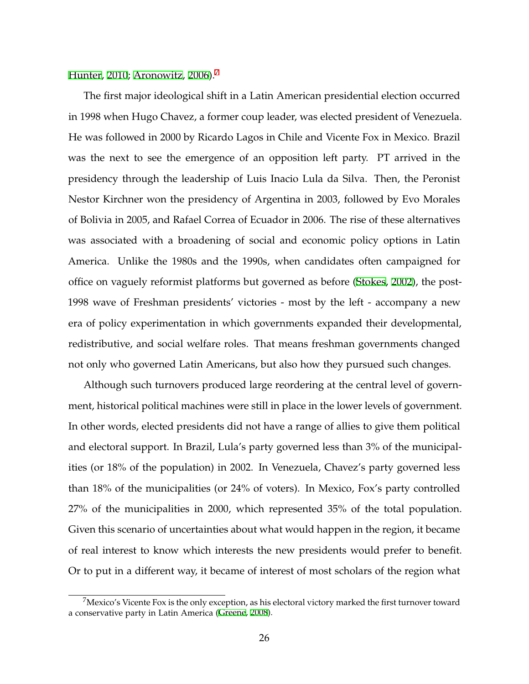[Hunter,](#page-38-1) [2010](#page-38-1); [Aronowitz](#page-33-5), [2006\)](#page-33-5). $\frac{7}{2}$ 

The first major ideological shift in a Latin American presidential election occurred in 1998 when Hugo Chavez, a former coup leader, was elected president of Venezuela. He was followed in 2000 by Ricardo Lagos in Chile and Vicente Fox in Mexico. Brazil was the next to see the emergence of an opposition left party. PT arrived in the presidency through the leadership of Luis Inacio Lula da Silva. Then, the Peronist Nestor Kirchner won the presidency of Argentina in 2003, followed by Evo Morales of Bolivia in 2005, and Rafael Correa of Ecuador in 2006. The rise of these alternatives was associated with a broadening of social and economic policy options in Latin America. Unlike the 1980s and the 1990s, when candidates often campaigned for office on vaguely reformist platforms but governed as before [\(Stokes,](#page-37-8) [2002](#page-37-8)), the post-1998 wave of Freshman presidents' victories - most by the left - accompany a new era of policy experimentation in which governments expanded their developmental, redistributive, and social welfare roles. That means freshman governments changed not only who governed Latin Americans, but also how they pursued such changes.

Although such turnovers produced large reordering at the central level of government, historical political machines were still in place in the lower levels of government. In other words, elected presidents did not have a range of allies to give them political and electoral support. In Brazil, Lula's party governed less than 3% of the municipalities (or 18% of the population) in 2002. In Venezuela, Chavez's party governed less than 18% of the municipalities (or 24% of voters). In Mexico, Fox's party controlled 27% of the municipalities in 2000, which represented 35% of the total population. Given this scenario of uncertainties about what would happen in the region, it became of real interest to know which interests the new presidents would prefer to benefit. Or to put in a different way, it became of interest of most scholars of the region what

 $^7$ Mexico's Vicente Fox is the only exception, as his electoral victory marked the first turnover toward a conservative party in Latin America [\(Greene,](#page-35-0) [2008\)](#page-35-0).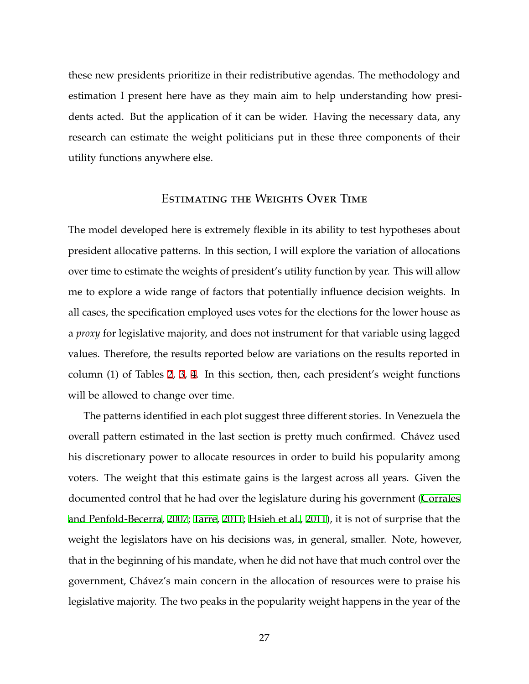these new presidents prioritize in their redistributive agendas. The methodology and estimation I present here have as they main aim to help understanding how presidents acted. But the application of it can be wider. Having the necessary data, any research can estimate the weight politicians put in these three components of their utility functions anywhere else.

## Estimating the Weights Over Time

The model developed here is extremely flexible in its ability to test hypotheses about president allocative patterns. In this section, I will explore the variation of allocations over time to estimate the weights of president's utility function by year. This will allow me to explore a wide range of factors that potentially influence decision weights. In all cases, the specification employed uses votes for the elections for the lower house as a *proxy* for legislative majority, and does not instrument for that variable using lagged values. Therefore, the results reported below are variations on the results reported in column (1) of Tables [2](#page-22-0), [3,](#page-24-0) [4](#page-24-1). In this section, then, each president's weight functions will be allowed to change over time.

The patterns identified in each plot suggest three different stories. In Venezuela the overall pattern estimated in the last section is pretty much confirmed. Chávez used his discretionary power to allocate resources in order to build his popularity among voters. The weight that this estimate gains is the largest across all years. Given the documented control that he had over the legislature during his government [\(Corrales](#page-34-9) [and Penfold-Becerra](#page-34-9), [2007;](#page-34-9) [Tarre](#page-37-9), [2011;](#page-37-9) [Hsieh et al.,](#page-36-7) [2011\)](#page-36-7), it is not of surprise that the weight the legislators have on his decisions was, in general, smaller. Note, however, that in the beginning of his mandate, when he did not have that much control over the government, Chávez's main concern in the allocation of resources were to praise his legislative majority. The two peaks in the popularity weight happens in the year of the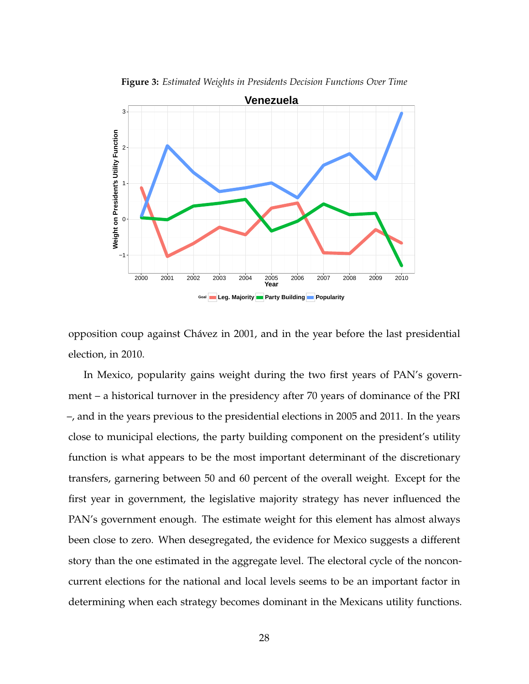

**Figure 3:** *Estimated Weights in Presidents Decision Functions Over Time*

opposition coup against Chávez in 2001, and in the year before the last presidential election, in 2010.

In Mexico, popularity gains weight during the two first years of PAN's government – a historical turnover in the presidency after 70 years of dominance of the PRI –, and in the years previous to the presidential elections in 2005 and 2011. In the years close to municipal elections, the party building component on the president's utility function is what appears to be the most important determinant of the discretionary transfers, garnering between 50 and 60 percent of the overall weight. Except for the first year in government, the legislative majority strategy has never influenced the PAN's government enough. The estimate weight for this element has almost always been close to zero. When desegregated, the evidence for Mexico suggests a different story than the one estimated in the aggregate level. The electoral cycle of the nonconcurrent elections for the national and local levels seems to be an important factor in determining when each strategy becomes dominant in the Mexicans utility functions.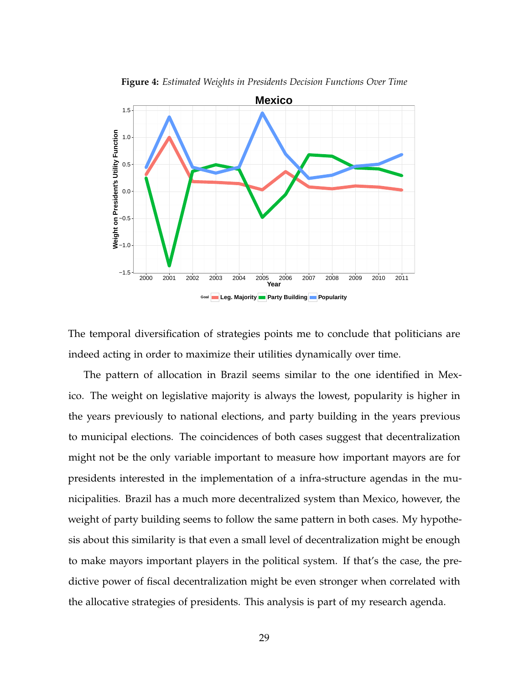

**Figure 4:** *Estimated Weights in Presidents Decision Functions Over Time*

The temporal diversification of strategies points me to conclude that politicians are indeed acting in order to maximize their utilities dynamically over time.

The pattern of allocation in Brazil seems similar to the one identified in Mexico. The weight on legislative majority is always the lowest, popularity is higher in the years previously to national elections, and party building in the years previous to municipal elections. The coincidences of both cases suggest that decentralization might not be the only variable important to measure how important mayors are for presidents interested in the implementation of a infra-structure agendas in the municipalities. Brazil has a much more decentralized system than Mexico, however, the weight of party building seems to follow the same pattern in both cases. My hypothesis about this similarity is that even a small level of decentralization might be enough to make mayors important players in the political system. If that's the case, the predictive power of fiscal decentralization might be even stronger when correlated with the allocative strategies of presidents. This analysis is part of my research agenda.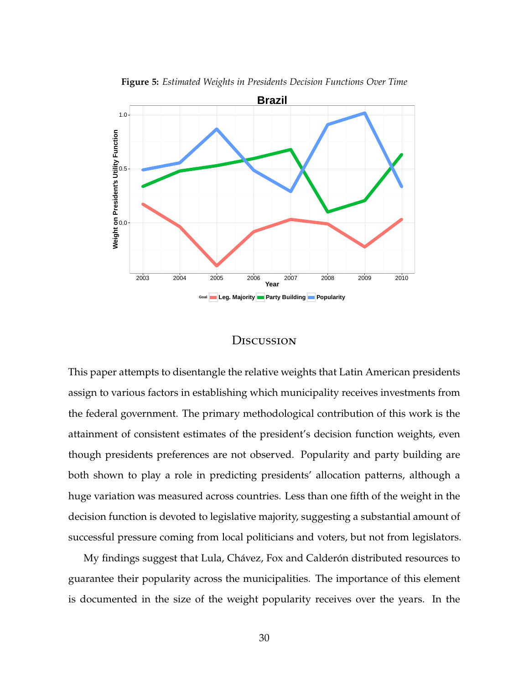

**Figure 5:** *Estimated Weights in Presidents Decision Functions Over Time*

#### **D**iscussion

This paper attempts to disentangle the relative weights that Latin American presidents assign to various factors in establishing which municipality receives investments from the federal government. The primary methodological contribution of this work is the attainment of consistent estimates of the president's decision function weights, even though presidents preferences are not observed. Popularity and party building are both shown to play a role in predicting presidents' allocation patterns, although a huge variation was measured across countries. Less than one fifth of the weight in the decision function is devoted to legislative majority, suggesting a substantial amount of successful pressure coming from local politicians and voters, but not from legislators.

My findings suggest that Lula, Chávez, Fox and Calderón distributed resources to guarantee their popularity across the municipalities. The importance of this element is documented in the size of the weight popularity receives over the years. In the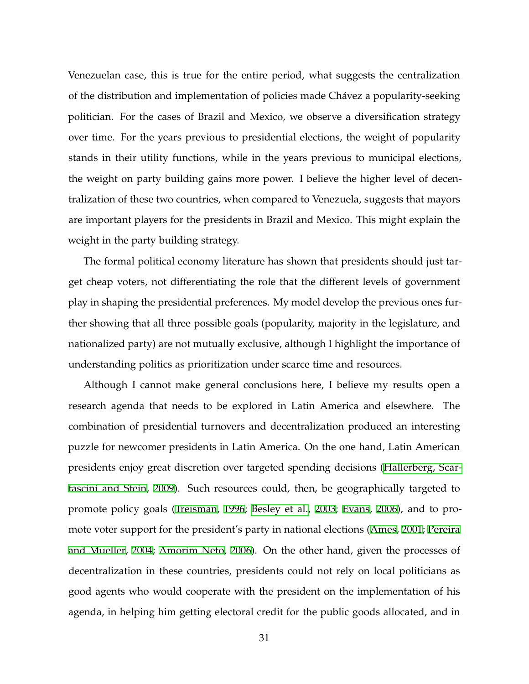Venezuelan case, this is true for the entire period, what suggests the centralization of the distribution and implementation of policies made Chávez a popularity-seeking politician. For the cases of Brazil and Mexico, we observe a diversification strategy over time. For the years previous to presidential elections, the weight of popularity stands in their utility functions, while in the years previous to municipal elections, the weight on party building gains more power. I believe the higher level of decentralization of these two countries, when compared to Venezuela, suggests that mayors are important players for the presidents in Brazil and Mexico. This might explain the weight in the party building strategy.

The formal political economy literature has shown that presidents should just target cheap voters, not differentiating the role that the different levels of government play in shaping the presidential preferences. My model develop the previous ones further showing that all three possible goals (popularity, majority in the legislature, and nationalized party) are not mutually exclusive, although I highlight the importance of understanding politics as prioritization under scarce time and resources.

Although I cannot make general conclusions here, I believe my results open a research agenda that needs to be explored in Latin America and elsewhere. The combination of presidential turnovers and decentralization produced an interesting puzzle for newcomer presidents in Latin America. On the one hand, Latin American presidents enjoy great discretion over targeted spending decisions [\(Hallerberg, Scar](#page-35-8)[tascini and Stein,](#page-35-8) [2009\)](#page-35-8). Such resources could, then, be geographically targeted to promote policy goals ([Treisman,](#page-38-2) [1996](#page-38-2); [Besley et al.,](#page-34-10) [2003;](#page-34-10) [Evans](#page-35-9), [2006\)](#page-35-9), and to promote voter support for the president's party in national elections ([Ames](#page-33-6), [2001](#page-33-6); [Pereira](#page-37-10) [and Mueller](#page-37-10), [2004;](#page-37-10) [Amorim Neto,](#page-33-7) [2006\)](#page-33-7). On the other hand, given the processes of decentralization in these countries, presidents could not rely on local politicians as good agents who would cooperate with the president on the implementation of his agenda, in helping him getting electoral credit for the public goods allocated, and in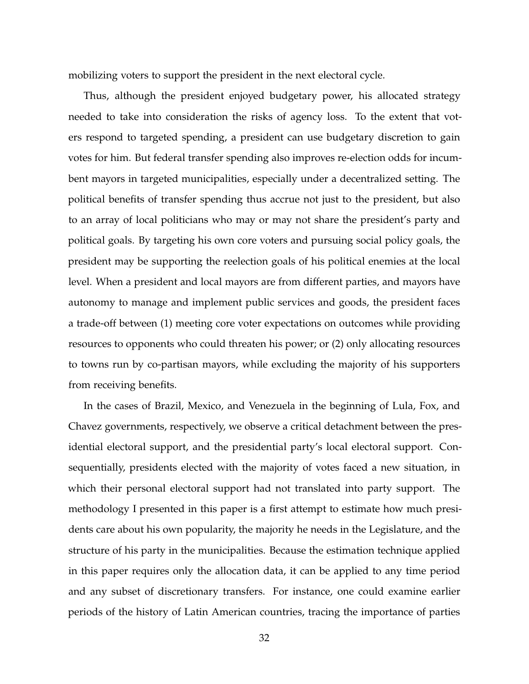mobilizing voters to support the president in the next electoral cycle.

Thus, although the president enjoyed budgetary power, his allocated strategy needed to take into consideration the risks of agency loss. To the extent that voters respond to targeted spending, a president can use budgetary discretion to gain votes for him. But federal transfer spending also improves re-election odds for incumbent mayors in targeted municipalities, especially under a decentralized setting. The political benefits of transfer spending thus accrue not just to the president, but also to an array of local politicians who may or may not share the president's party and political goals. By targeting his own core voters and pursuing social policy goals, the president may be supporting the reelection goals of his political enemies at the local level. When a president and local mayors are from different parties, and mayors have autonomy to manage and implement public services and goods, the president faces a trade-off between (1) meeting core voter expectations on outcomes while providing resources to opponents who could threaten his power; or (2) only allocating resources to towns run by co-partisan mayors, while excluding the majority of his supporters from receiving benefits.

In the cases of Brazil, Mexico, and Venezuela in the beginning of Lula, Fox, and Chavez governments, respectively, we observe a critical detachment between the presidential electoral support, and the presidential party's local electoral support. Consequentially, presidents elected with the majority of votes faced a new situation, in which their personal electoral support had not translated into party support. The methodology I presented in this paper is a first attempt to estimate how much presidents care about his own popularity, the majority he needs in the Legislature, and the structure of his party in the municipalities. Because the estimation technique applied in this paper requires only the allocation data, it can be applied to any time period and any subset of discretionary transfers. For instance, one could examine earlier periods of the history of Latin American countries, tracing the importance of parties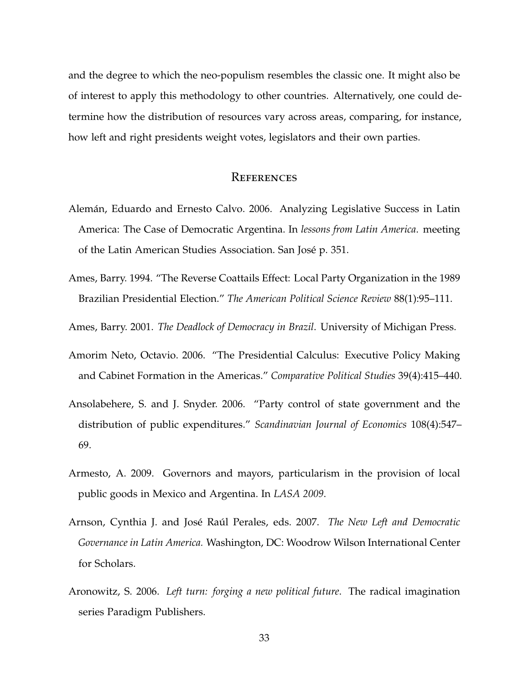and the degree to which the neo-populism resembles the classic one. It might also be of interest to apply this methodology to other countries. Alternatively, one could determine how the distribution of resources vary across areas, comparing, for instance, how left and right presidents weight votes, legislators and their own parties.

## **REFERENCES**

- <span id="page-33-1"></span>Alemán, Eduardo and Ernesto Calvo. 2006. Analyzing Legislative Success in Latin America: The Case of Democratic Argentina. In *lessons from Latin America*. meeting of the Latin American Studies Association. San José p. 351.
- <span id="page-33-2"></span>Ames, Barry. 1994. "The Reverse Coattails Effect: Local Party Organization in the 1989 Brazilian Presidential Election." *The American Political Science Review* 88(1):95–111.
- <span id="page-33-6"></span>Ames, Barry. 2001. *The Deadlock of Democracy in Brazil*. University of Michigan Press.
- <span id="page-33-7"></span>Amorim Neto, Octavio. 2006. "The Presidential Calculus: Executive Policy Making and Cabinet Formation in the Americas." *Comparative Political Studies* 39(4):415–440.
- <span id="page-33-0"></span>Ansolabehere, S. and J. Snyder. 2006. "Party control of state government and the distribution of public expenditures." *Scandinavian Journal of Economics* 108(4):547– 69.
- <span id="page-33-3"></span>Armesto, A. 2009. Governors and mayors, particularism in the provision of local public goods in Mexico and Argentina. In *LASA 2009*.
- <span id="page-33-4"></span>Arnson, Cynthia J. and José Raúl Perales, eds. 2007. *The New Left and Democratic Governance in Latin America.* Washington, DC: Woodrow Wilson International Center for Scholars.
- <span id="page-33-5"></span>Aronowitz, S. 2006. *Left turn: forging a new political future*. The radical imagination series Paradigm Publishers.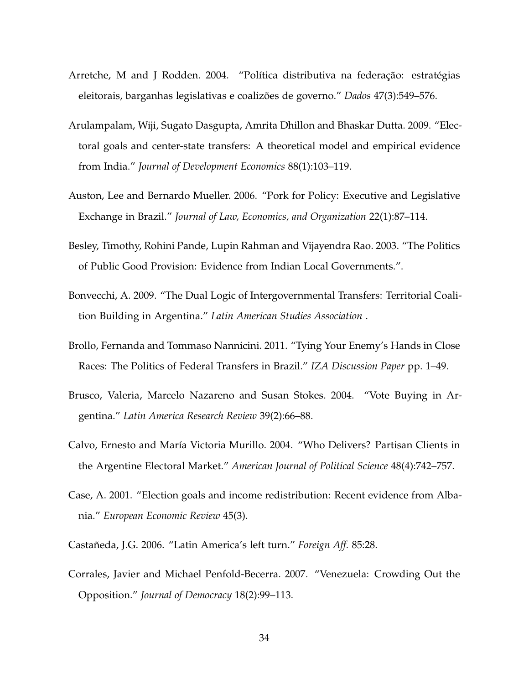- <span id="page-34-2"></span>Arretche, M and J Rodden. 2004. "Política distributiva na federação: estratégias eleitorais, barganhas legislativas e coalizões de governo." *Dados* 47(3):549–576.
- <span id="page-34-6"></span>Arulampalam, Wiji, Sugato Dasgupta, Amrita Dhillon and Bhaskar Dutta. 2009. "Electoral goals and center-state transfers: A theoretical model and empirical evidence from India." *Journal of Development Economics* 88(1):103–119.
- <span id="page-34-3"></span>Auston, Lee and Bernardo Mueller. 2006. "Pork for Policy: Executive and Legislative Exchange in Brazil." *Journal of Law, Economics, and Organization* 22(1):87–114.
- <span id="page-34-10"></span>Besley, Timothy, Rohini Pande, Lupin Rahman and Vijayendra Rao. 2003. "The Politics of Public Good Provision: Evidence from Indian Local Governments.".
- <span id="page-34-4"></span>Bonvecchi, A. 2009. "The Dual Logic of Intergovernmental Transfers: Territorial Coalition Building in Argentina." *Latin American Studies Association* .
- <span id="page-34-5"></span>Brollo, Fernanda and Tommaso Nannicini. 2011. "Tying Your Enemy's Hands in Close Races: The Politics of Federal Transfers in Brazil." *IZA Discussion Paper* pp. 1–49.
- <span id="page-34-0"></span>Brusco, Valeria, Marcelo Nazareno and Susan Stokes. 2004. "Vote Buying in Argentina." *Latin America Research Review* 39(2):66–88.
- <span id="page-34-7"></span>Calvo, Ernesto and María Victoria Murillo. 2004. "Who Delivers? Partisan Clients in the Argentine Electoral Market." *American Journal of Political Science* 48(4):742–757.
- <span id="page-34-1"></span>Case, A. 2001. "Election goals and income redistribution: Recent evidence from Albania." *European Economic Review* 45(3).
- <span id="page-34-8"></span>Castañeda, J.G. 2006. "Latin America's left turn." *Foreign Aff.* 85:28.
- <span id="page-34-9"></span>Corrales, Javier and Michael Penfold-Becerra. 2007. "Venezuela: Crowding Out the Opposition." *Journal of Democracy* 18(2):99–113.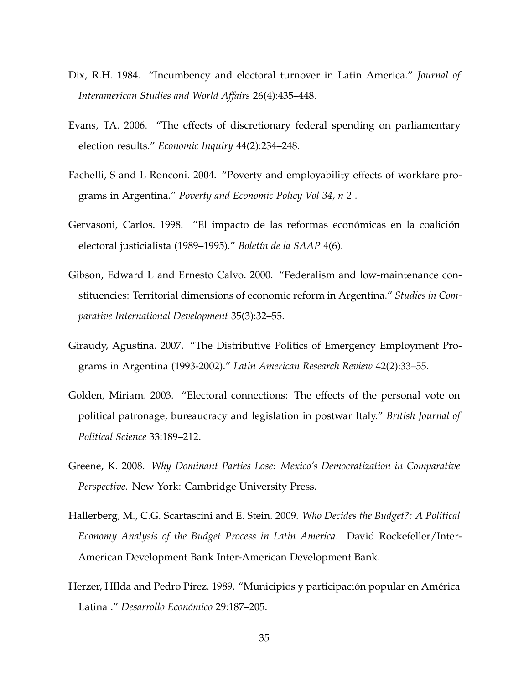- <span id="page-35-7"></span>Dix, R.H. 1984. "Incumbency and electoral turnover in Latin America." *Journal of Interamerican Studies and World Affairs* 26(4):435–448.
- <span id="page-35-9"></span>Evans, TA. 2006. "The effects of discretionary federal spending on parliamentary election results." *Economic Inquiry* 44(2):234–248.
- <span id="page-35-5"></span>Fachelli, S and L Ronconi. 2004. "Poverty and employability effects of workfare programs in Argentina." *Poverty and Economic Policy Vol 34, n 2* .
- <span id="page-35-1"></span>Gervasoni, Carlos. 1998. "El impacto de las reformas económicas en la coalición electoral justicialista (1989–1995)." *Boletín de la SAAP* 4(6).
- <span id="page-35-3"></span>Gibson, Edward L and Ernesto Calvo. 2000. "Federalism and low-maintenance constituencies: Territorial dimensions of economic reform in Argentina." *Studies in Comparative International Development* 35(3):32–55.
- <span id="page-35-4"></span>Giraudy, Agustina. 2007. "The Distributive Politics of Emergency Employment Programs in Argentina (1993-2002)." *Latin American Research Review* 42(2):33–55.
- <span id="page-35-2"></span>Golden, Miriam. 2003. "Electoral connections: The effects of the personal vote on political patronage, bureaucracy and legislation in postwar Italy." *British Journal of Political Science* 33:189–212.
- <span id="page-35-0"></span>Greene, K. 2008. *Why Dominant Parties Lose: Mexico's Democratization in Comparative Perspective*. New York: Cambridge University Press.
- <span id="page-35-8"></span>Hallerberg, M., C.G. Scartascini and E. Stein. 2009. *Who Decides the Budget?: A Political Economy Analysis of the Budget Process in Latin America*. David Rockefeller/Inter-American Development Bank Inter-American Development Bank.
- <span id="page-35-6"></span>Herzer, HIlda and Pedro Pirez. 1989. "Municipios y participación popular en América Latina ." *Desarrollo Económico* 29:187–205.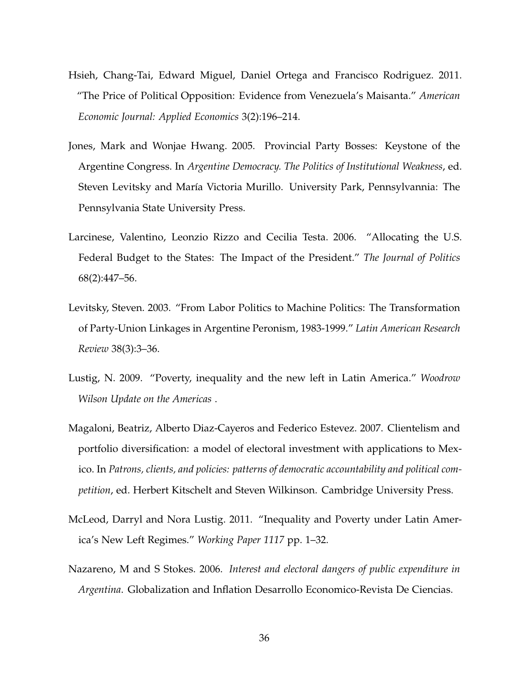- <span id="page-36-7"></span>Hsieh, Chang-Tai, Edward Miguel, Daniel Ortega and Francisco Rodriguez. 2011. "The Price of Political Opposition: Evidence from Venezuela's Maisanta." *American Economic Journal: Applied Economics* 3(2):196–214.
- <span id="page-36-2"></span>Jones, Mark and Wonjae Hwang. 2005. Provincial Party Bosses: Keystone of the Argentine Congress. In *Argentine Democracy. The Politics of Institutional Weakness*, ed. Steven Levitsky and María Victoria Murillo. University Park, Pennsylvannia: The Pennsylvania State University Press.
- <span id="page-36-1"></span>Larcinese, Valentino, Leonzio Rizzo and Cecilia Testa. 2006. "Allocating the U.S. Federal Budget to the States: The Impact of the President." *The Journal of Politics* 68(2):447–56.
- <span id="page-36-4"></span>Levitsky, Steven. 2003. "From Labor Politics to Machine Politics: The Transformation of Party-Union Linkages in Argentine Peronism, 1983-1999." *Latin American Research Review* 38(3):3–36.
- <span id="page-36-5"></span>Lustig, N. 2009. "Poverty, inequality and the new left in Latin America." *Woodrow Wilson Update on the Americas* .
- <span id="page-36-0"></span>Magaloni, Beatriz, Alberto Diaz-Cayeros and Federico Estevez. 2007. Clientelism and portfolio diversification: a model of electoral investment with applications to Mexico. In *Patrons, clients, and policies: patterns of democratic accountability and political competition*, ed. Herbert Kitschelt and Steven Wilkinson. Cambridge University Press.
- <span id="page-36-6"></span>McLeod, Darryl and Nora Lustig. 2011. "Inequality and Poverty under Latin America's New Left Regimes." *Working Paper 1117* pp. 1–32.
- <span id="page-36-3"></span>Nazareno, M and S Stokes. 2006. *Interest and electoral dangers of public expenditure in Argentina*. Globalization and Inflation Desarrollo Economico-Revista De Ciencias.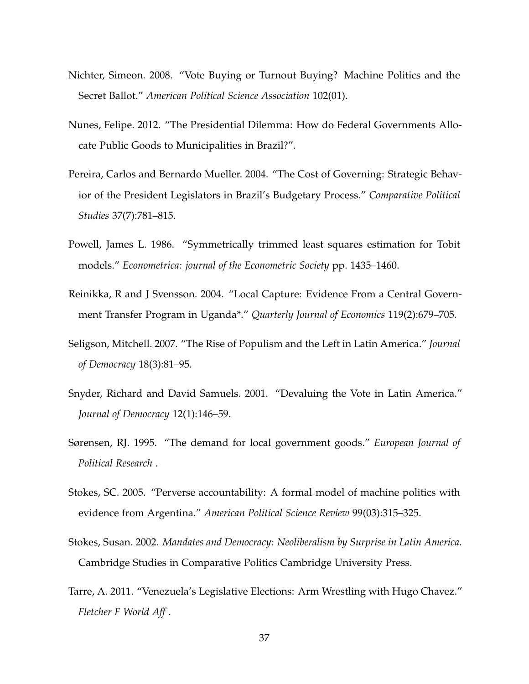- <span id="page-37-1"></span>Nichter, Simeon. 2008. "Vote Buying or Turnout Buying? Machine Politics and the Secret Ballot." *American Political Science Association* 102(01).
- <span id="page-37-6"></span>Nunes, Felipe. 2012. "The Presidential Dilemma: How do Federal Governments Allocate Public Goods to Municipalities in Brazil?".
- <span id="page-37-10"></span>Pereira, Carlos and Bernardo Mueller. 2004. "The Cost of Governing: Strategic Behavior of the President Legislators in Brazil's Budgetary Process." *Comparative Political Studies* 37(7):781–815.
- <span id="page-37-5"></span>Powell, James L. 1986. "Symmetrically trimmed least squares estimation for Tobit models." *Econometrica: journal of the Econometric Society* pp. 1435–1460.
- <span id="page-37-2"></span>Reinikka, R and J Svensson. 2004. "Local Capture: Evidence From a Central Government Transfer Program in Uganda\*." *Quarterly Journal of Economics* 119(2):679–705.
- <span id="page-37-7"></span>Seligson, Mitchell. 2007. "The Rise of Populism and the Left in Latin America." *Journal of Democracy* 18(3):81–95.
- <span id="page-37-3"></span>Snyder, Richard and David Samuels. 2001. "Devaluing the Vote in Latin America." *Journal of Democracy* 12(1):146–59.
- <span id="page-37-4"></span>Sørensen, RJ. 1995. "The demand for local government goods." *European Journal of Political Research* .
- <span id="page-37-0"></span>Stokes, SC. 2005. "Perverse accountability: A formal model of machine politics with evidence from Argentina." *American Political Science Review* 99(03):315–325.
- <span id="page-37-8"></span>Stokes, Susan. 2002. *Mandates and Democracy: Neoliberalism by Surprise in Latin America*. Cambridge Studies in Comparative Politics Cambridge University Press.
- <span id="page-37-9"></span>Tarre, A. 2011. "Venezuela's Legislative Elections: Arm Wrestling with Hugo Chavez." *Fletcher F World Aff* .